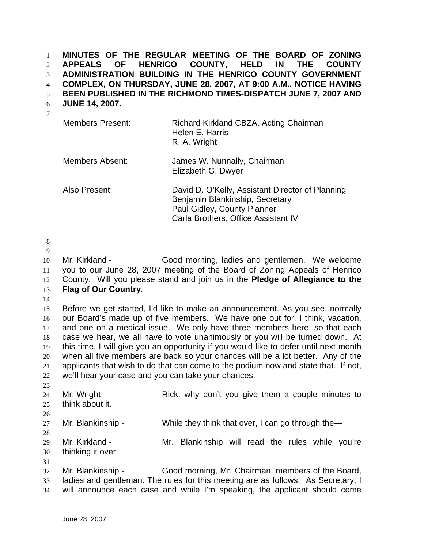**MINUTES OF THE REGULAR MEETING OF THE BOARD OF ZONING APPEALS OF HENRICO COUNTY, HELD IN THE COUNTY ADMINISTRATION BUILDING IN THE HENRICO COUNTY GOVERNMENT COMPLEX, ON THURSDAY, JUNE 28, 2007, AT 9:00 A.M., NOTICE HAVING BEEN PUBLISHED IN THE RICHMOND TIMES-DISPATCH JUNE 7, 2007 AND**  1 2 3 4 5

**JUNE 14, 2007.**  6

7

| <b>Members Present:</b> | Richard Kirkland CBZA, Acting Chairman<br>Helen E. Harris<br>R. A. Wright                                                                                 |
|-------------------------|-----------------------------------------------------------------------------------------------------------------------------------------------------------|
| <b>Members Absent:</b>  | James W. Nunnally, Chairman<br>Elizabeth G. Dwyer                                                                                                         |
| Also Present:           | David D. O'Kelly, Assistant Director of Planning<br>Benjamin Blankinship, Secretary<br>Paul Gidley, County Planner<br>Carla Brothers, Office Assistant IV |

8

9

10 11 12 13 Mr. Kirkland - Good morning, ladies and gentlemen. We welcome you to our June 28, 2007 meeting of the Board of Zoning Appeals of Henrico County. Will you please stand and join us in the **Pledge of Allegiance to the Flag of Our Country**.

14

15 16 17 18 19 20 21 22 Before we get started, I'd like to make an announcement. As you see, normally our Board's made up of five members. We have one out for, I think, vacation, and one on a medical issue. We only have three members here, so that each case we hear, we all have to vote unanimously or you will be turned down. At this time, I will give you an opportunity if you would like to defer until next month when all five members are back so your chances will be a lot better. Any of the applicants that wish to do that can come to the podium now and state that. If not, we'll hear your case and you can take your chances.

23 24 25 26 27 28 29 30 31 32 33 Mr. Wright - The Rick, why don't you give them a couple minutes to think about it. Mr. Blankinship - While they think that over, I can go through the— Mr. Kirkland - The Mr. Blankinship will read the rules while you're thinking it over. Mr. Blankinship - Good morning, Mr. Chairman, members of the Board, ladies and gentleman. The rules for this meeting are as follows. As Secretary, I

34 will announce each case and while I'm speaking, the applicant should come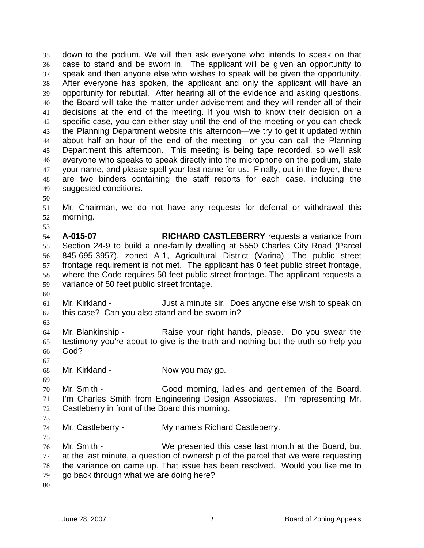down to the podium. We will then ask everyone who intends to speak on that case to stand and be sworn in. The applicant will be given an opportunity to speak and then anyone else who wishes to speak will be given the opportunity. After everyone has spoken, the applicant and only the applicant will have an opportunity for rebuttal. After hearing all of the evidence and asking questions, the Board will take the matter under advisement and they will render all of their decisions at the end of the meeting. If you wish to know their decision on a specific case, you can either stay until the end of the meeting or you can check the Planning Department website this afternoon—we try to get it updated within about half an hour of the end of the meeting—or you can call the Planning Department this afternoon. This meeting is being tape recorded, so we'll ask everyone who speaks to speak directly into the microphone on the podium, state your name, and please spell your last name for us. Finally, out in the foyer, there are two binders containing the staff reports for each case, including the suggested conditions. 35 36 37 38 39 40 41 42 43 44 45 46 47 48 49

50

53

51 52 Mr. Chairman, we do not have any requests for deferral or withdrawal this morning.

54 55 56 57 58 59 **A-015-07 RICHARD CASTLEBERRY** requests a variance from Section 24-9 to build a one-family dwelling at 5550 Charles City Road (Parcel 845-695-3957), zoned A-1, Agricultural District (Varina). The public street frontage requirement is not met. The applicant has 0 feet public street frontage, where the Code requires 50 feet public street frontage. The applicant requests a variance of 50 feet public street frontage.

- 61 62 Mr. Kirkland - The Suit a minute sir. Does anyone else wish to speak on this case? Can you also stand and be sworn in?
- 63

60

64 65 66 Mr. Blankinship - The Raise your right hands, please. Do you swear the testimony you're about to give is the truth and nothing but the truth so help you God?

67

69

68 Mr. Kirkland - Now you may go.

70 71 72 Mr. Smith - Good morning, ladies and gentlemen of the Board. I'm Charles Smith from Engineering Design Associates. I'm representing Mr. Castleberry in front of the Board this morning.

73

75

74 Mr. Castleberry - My name's Richard Castleberry.

- 76 77 78 79 Mr. Smith - We presented this case last month at the Board, but at the last minute, a question of ownership of the parcel that we were requesting the variance on came up. That issue has been resolved. Would you like me to go back through what we are doing here?
- 80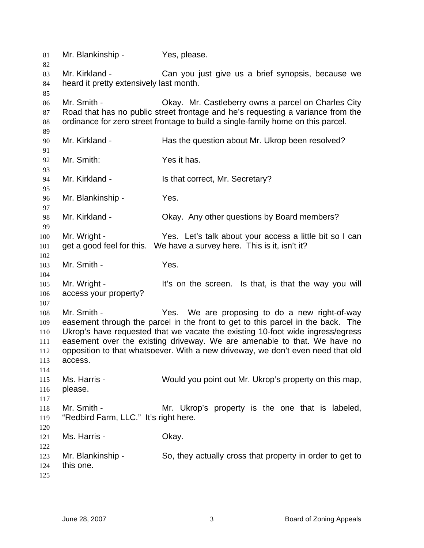| 81                                            | Mr. Blankinship -                                         | Yes, please.                                                                                                                                                                                                                                                                                                                                                                       |
|-----------------------------------------------|-----------------------------------------------------------|------------------------------------------------------------------------------------------------------------------------------------------------------------------------------------------------------------------------------------------------------------------------------------------------------------------------------------------------------------------------------------|
| 82<br>83<br>84<br>85                          | Mr. Kirkland -<br>heard it pretty extensively last month. | Can you just give us a brief synopsis, because we                                                                                                                                                                                                                                                                                                                                  |
| 86<br>87<br>88                                | Mr. Smith -                                               | Okay. Mr. Castleberry owns a parcel on Charles City<br>Road that has no public street frontage and he's requesting a variance from the<br>ordinance for zero street frontage to build a single-family home on this parcel.                                                                                                                                                         |
| 89<br>90<br>91                                | Mr. Kirkland -                                            | Has the question about Mr. Ukrop been resolved?                                                                                                                                                                                                                                                                                                                                    |
| 92<br>93                                      | Mr. Smith:                                                | Yes it has.                                                                                                                                                                                                                                                                                                                                                                        |
| 94<br>95                                      | Mr. Kirkland -                                            | Is that correct, Mr. Secretary?                                                                                                                                                                                                                                                                                                                                                    |
| 96<br>97                                      | Mr. Blankinship -                                         | Yes.                                                                                                                                                                                                                                                                                                                                                                               |
| 98<br>99                                      | Mr. Kirkland -                                            | Okay. Any other questions by Board members?                                                                                                                                                                                                                                                                                                                                        |
| 100<br>101<br>102                             | Mr. Wright -<br>get a good feel for this.                 | Yes. Let's talk about your access a little bit so I can<br>We have a survey here. This is it, isn't it?                                                                                                                                                                                                                                                                            |
| 103<br>104                                    | Mr. Smith -                                               | Yes.                                                                                                                                                                                                                                                                                                                                                                               |
| 105<br>106<br>107                             | Mr. Wright -<br>access your property?                     | It's on the screen. Is that, is that the way you will                                                                                                                                                                                                                                                                                                                              |
| 108<br>109<br>110<br>111<br>112<br>113<br>114 | Mr. Smith -<br>access.                                    | Yes. We are proposing to do a new right-of-way<br>easement through the parcel in the front to get to this parcel in the back. The<br>Ukrop's have requested that we vacate the existing 10-foot wide ingress/egress<br>easement over the existing driveway. We are amenable to that. We have no<br>opposition to that whatsoever. With a new driveway, we don't even need that old |
| 115<br>116<br>117                             | Ms. Harris -<br>please.                                   | Would you point out Mr. Ukrop's property on this map,                                                                                                                                                                                                                                                                                                                              |
| 118<br>119<br>120                             | Mr. Smith -<br>"Redbird Farm, LLC." It's right here.      | Mr. Ukrop's property is the one that is labeled,                                                                                                                                                                                                                                                                                                                                   |
| 121<br>122                                    | Ms. Harris -                                              | Okay.                                                                                                                                                                                                                                                                                                                                                                              |
| 123<br>124<br>125                             | Mr. Blankinship -<br>this one.                            | So, they actually cross that property in order to get to                                                                                                                                                                                                                                                                                                                           |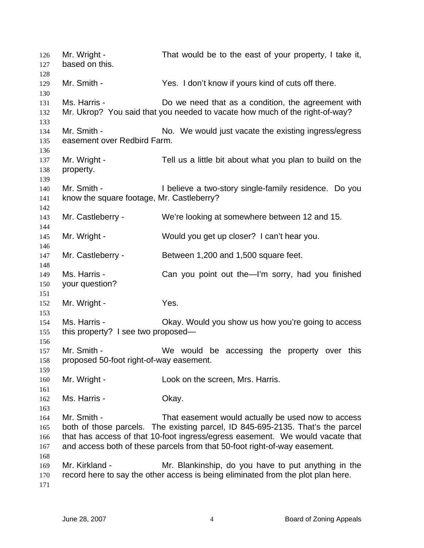| 126<br>127<br>128        | Mr. Wright -<br>based on this.                           | That would be to the east of your property, I take it,                                                                                                                                                                                                                                             |
|--------------------------|----------------------------------------------------------|----------------------------------------------------------------------------------------------------------------------------------------------------------------------------------------------------------------------------------------------------------------------------------------------------|
| 129<br>130               | Mr. Smith -                                              | Yes. I don't know if yours kind of cuts off there.                                                                                                                                                                                                                                                 |
| 131<br>132<br>133        | Ms. Harris -                                             | Do we need that as a condition, the agreement with<br>Mr. Ukrop? You said that you needed to vacate how much of the right-of-way?                                                                                                                                                                  |
| 134<br>135<br>136        | Mr. Smith -<br>easement over Redbird Farm.               | No. We would just vacate the existing ingress/egress                                                                                                                                                                                                                                               |
| 137<br>138<br>139        | Mr. Wright -<br>property.                                | Tell us a little bit about what you plan to build on the                                                                                                                                                                                                                                           |
| 140<br>141               | Mr. Smith -<br>know the square footage, Mr. Castleberry? | I believe a two-story single-family residence. Do you                                                                                                                                                                                                                                              |
| 142<br>143<br>144        | Mr. Castleberry -                                        | We're looking at somewhere between 12 and 15.                                                                                                                                                                                                                                                      |
| 145<br>146               | Mr. Wright -                                             | Would you get up closer? I can't hear you.                                                                                                                                                                                                                                                         |
| 147<br>148               | Mr. Castleberry -                                        | Between 1,200 and 1,500 square feet.                                                                                                                                                                                                                                                               |
| 149<br>150<br>151        | Ms. Harris -<br>your question?                           | Can you point out the-I'm sorry, had you finished                                                                                                                                                                                                                                                  |
| 152<br>153               | Mr. Wright -                                             | Yes.                                                                                                                                                                                                                                                                                               |
| 154<br>155               | Ms. Harris -<br>this property? I see two proposed—       | Okay. Would you show us how you're going to access                                                                                                                                                                                                                                                 |
| 156<br>157<br>158<br>159 | Mr. Smith -<br>proposed 50-foot right-of-way easement.   | We would be accessing the property over this                                                                                                                                                                                                                                                       |
| 160<br>161               | Mr. Wright -                                             | Look on the screen, Mrs. Harris.                                                                                                                                                                                                                                                                   |
| 162<br>163               | Ms. Harris -                                             | Okay.                                                                                                                                                                                                                                                                                              |
| 164<br>165<br>166<br>167 | Mr. Smith -                                              | That easement would actually be used now to access<br>both of those parcels. The existing parcel, ID 845-695-2135. That's the parcel<br>that has access of that 10-foot ingress/egress easement. We would vacate that<br>and access both of these parcels from that 50-foot right-of-way easement. |
| 168<br>169<br>170<br>171 | Mr. Kirkland -                                           | Mr. Blankinship, do you have to put anything in the<br>record here to say the other access is being eliminated from the plot plan here.                                                                                                                                                            |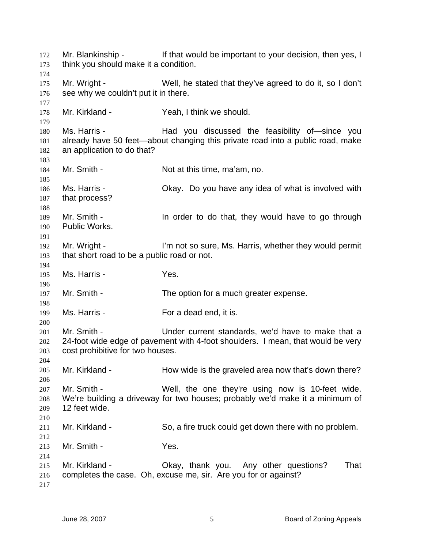Mr. Blankinship - The If that would be important to your decision, then yes, I think you should make it a condition. Mr. Wright - Well, he stated that they've agreed to do it, so I don't see why we couldn't put it in there. Mr. Kirkland - Yeah, I think we should. Ms. Harris - The Had you discussed the feasibility of since you already have 50 feet—about changing this private road into a public road, make an application to do that? Mr. Smith - Not at this time, ma'am, no. Ms. Harris - Okay. Do you have any idea of what is involved with that process? Mr. Smith - **In order to do that, they would have to go through** Public Works. Mr. Wright - I'm not so sure, Ms. Harris, whether they would permit that short road to be a public road or not. Ms. Harris - Yes. Mr. Smith - The option for a much greater expense. Ms. Harris - For a dead end, it is. Mr. Smith - The Under current standards, we'd have to make that a 24-foot wide edge of pavement with 4-foot shoulders. I mean, that would be very cost prohibitive for two houses. Mr. Kirkland - How wide is the graveled area now that's down there? Mr. Smith - Well, the one they're using now is 10-feet wide. We're building a driveway for two houses; probably we'd make it a minimum of 12 feet wide. Mr. Kirkland - So, a fire truck could get down there with no problem. Mr. Smith - Yes. Mr. Kirkland - Okay, thank you. Any other questions? That completes the case. Oh, excuse me, sir. Are you for or against?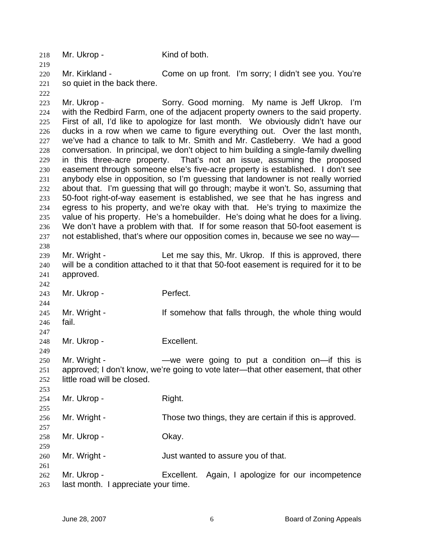218 Mr. Ukrop - Kind of both.

220 221 Mr. Kirkland - Come on up front. I'm sorry; I didn't see you. You're so quiet in the back there.

222

242

244

247

249

253

255

257

259

261

219

223 224 225 226 227 228 229 230 231 232 233 234 235 236 237 238 Mr. Ukrop - Sorry. Good morning. My name is Jeff Ukrop. I'm with the Redbird Farm, one of the adjacent property owners to the said property. First of all, I'd like to apologize for last month. We obviously didn't have our ducks in a row when we came to figure everything out. Over the last month, we've had a chance to talk to Mr. Smith and Mr. Castleberry. We had a good conversation. In principal, we don't object to him building a single-family dwelling in this three-acre property. That's not an issue, assuming the proposed easement through someone else's five-acre property is established. I don't see anybody else in opposition, so I'm guessing that landowner is not really worried about that. I'm guessing that will go through; maybe it won't. So, assuming that 50-foot right-of-way easement is established, we see that he has ingress and egress to his property, and we're okay with that. He's trying to maximize the value of his property. He's a homebuilder. He's doing what he does for a living. We don't have a problem with that. If for some reason that 50-foot easement is not established, that's where our opposition comes in, because we see no way—

239 240 241 Mr. Wright - The Let me say this, Mr. Ukrop. If this is approved, there will be a condition attached to it that that 50-foot easement is required for it to be approved.

243 Mr. Ukrop - Perfect.

245 246 Mr. Wright - If somehow that falls through, the whole thing would fail.

248 Mr. Ukrop - Excellent.

250 251 252 Mr. Wright - The State were going to put a condition on—if this is approved; I don't know, we're going to vote later—that other easement, that other little road will be closed.

254 Mr. Ukrop - Right.

256 Mr. Wright - Those two things, they are certain if this is approved.

258 Mr. Ukrop - Chay.

260 Mr. Wright - The Solution of the Just wanted to assure you of that.

262 263 Mr. Ukrop - Excellent. Again, I apologize for our incompetence last month. I appreciate your time.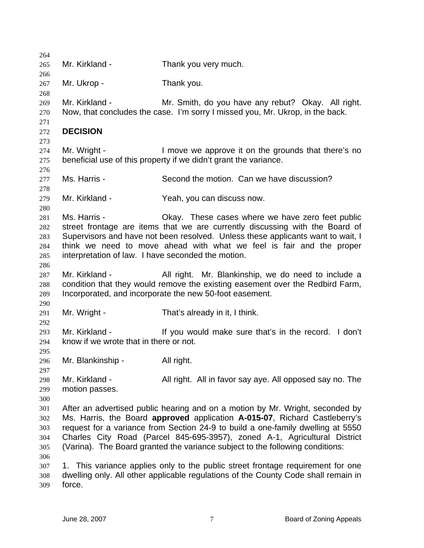| 264 |                                                    |                                                                                    |
|-----|----------------------------------------------------|------------------------------------------------------------------------------------|
| 265 | Mr. Kirkland -                                     | Thank you very much.                                                               |
| 266 |                                                    |                                                                                    |
| 267 | Mr. Ukrop -                                        | Thank you.                                                                         |
| 268 |                                                    |                                                                                    |
| 269 | Mr. Kirkland -                                     | Mr. Smith, do you have any rebut? Okay. All right.                                 |
| 270 |                                                    | Now, that concludes the case. I'm sorry I missed you, Mr. Ukrop, in the back.      |
| 271 |                                                    |                                                                                    |
| 272 | <b>DECISION</b>                                    |                                                                                    |
| 273 |                                                    |                                                                                    |
| 274 | Mr. Wright -                                       | I move we approve it on the grounds that there's no                                |
| 275 |                                                    | beneficial use of this property if we didn't grant the variance.                   |
| 276 |                                                    |                                                                                    |
| 277 | Ms. Harris -                                       | Second the motion. Can we have discussion?                                         |
| 278 |                                                    |                                                                                    |
| 279 | Mr. Kirkland -                                     | Yeah, you can discuss now.                                                         |
| 280 |                                                    |                                                                                    |
| 281 | Ms. Harris -                                       | Okay. These cases where we have zero feet public                                   |
| 282 |                                                    | street frontage are items that we are currently discussing with the Board of       |
|     |                                                    | Supervisors and have not been resolved. Unless these applicants want to wait, I    |
| 283 |                                                    |                                                                                    |
| 284 |                                                    | think we need to move ahead with what we feel is fair and the proper               |
| 285 | interpretation of law. I have seconded the motion. |                                                                                    |
| 286 |                                                    |                                                                                    |
| 287 | Mr. Kirkland -                                     | All right. Mr. Blankinship, we do need to include a                                |
| 288 |                                                    | condition that they would remove the existing easement over the Redbird Farm,      |
| 289 |                                                    | Incorporated, and incorporate the new 50-foot easement.                            |
| 290 |                                                    |                                                                                    |
| 291 | Mr. Wright -                                       | That's already in it, I think.                                                     |
| 292 |                                                    |                                                                                    |
| 293 | Mr. Kirkland -                                     | If you would make sure that's in the record. I don't                               |
| 294 | know if we wrote that in there or not.             |                                                                                    |
| 295 |                                                    |                                                                                    |
| 296 | Mr. Blankinship -                                  | All right.                                                                         |
| 297 |                                                    |                                                                                    |
| 298 | Mr. Kirkland -                                     | All right. All in favor say aye. All opposed say no. The                           |
| 299 | motion passes.                                     |                                                                                    |
| 300 |                                                    |                                                                                    |
| 301 |                                                    | After an advertised public hearing and on a motion by Mr. Wright, seconded by      |
| 302 |                                                    | Ms. Harris, the Board approved application A-015-07, Richard Castleberry's         |
| 303 |                                                    | request for a variance from Section 24-9 to build a one-family dwelling at 5550    |
| 304 |                                                    | Charles City Road (Parcel 845-695-3957), zoned A-1, Agricultural District          |
| 305 |                                                    | (Varina). The Board granted the variance subject to the following conditions:      |
| 306 |                                                    |                                                                                    |
| 307 |                                                    | 1. This variance applies only to the public street frontage requirement for one    |
| 308 |                                                    | dwelling only. All other applicable regulations of the County Code shall remain in |
| 309 | force.                                             |                                                                                    |
|     |                                                    |                                                                                    |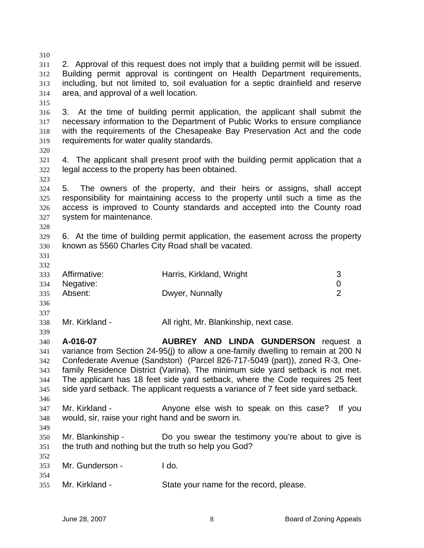| 310 |                                                                           |                                                                                    |                |
|-----|---------------------------------------------------------------------------|------------------------------------------------------------------------------------|----------------|
| 311 |                                                                           | 2. Approval of this request does not imply that a building permit will be issued.  |                |
| 312 | Building permit approval is contingent on Health Department requirements, |                                                                                    |                |
| 313 |                                                                           | including, but not limited to, soil evaluation for a septic drainfield and reserve |                |
| 314 | area, and approval of a well location.                                    |                                                                                    |                |
| 315 |                                                                           |                                                                                    |                |
| 316 | 3.                                                                        | At the time of building permit application, the applicant shall submit the         |                |
| 317 |                                                                           | necessary information to the Department of Public Works to ensure compliance       |                |
| 318 |                                                                           | with the requirements of the Chesapeake Bay Preservation Act and the code          |                |
| 319 | requirements for water quality standards.                                 |                                                                                    |                |
| 320 |                                                                           |                                                                                    |                |
| 321 |                                                                           | 4. The applicant shall present proof with the building permit application that a   |                |
| 322 | legal access to the property has been obtained.                           |                                                                                    |                |
| 323 |                                                                           |                                                                                    |                |
| 324 | 5.                                                                        | The owners of the property, and their heirs or assigns, shall accept               |                |
| 325 |                                                                           | responsibility for maintaining access to the property until such a time as the     |                |
| 326 |                                                                           | access is improved to County standards and accepted into the County road           |                |
| 327 | system for maintenance.                                                   |                                                                                    |                |
| 328 |                                                                           |                                                                                    |                |
| 329 |                                                                           | 6. At the time of building permit application, the easement across the property    |                |
| 330 | known as 5560 Charles City Road shall be vacated.                         |                                                                                    |                |
| 331 |                                                                           |                                                                                    |                |
| 332 |                                                                           |                                                                                    |                |
| 333 | Affirmative:                                                              | Harris, Kirkland, Wright                                                           | 3              |
| 334 | Negative:                                                                 |                                                                                    | 0              |
| 335 | Absent:                                                                   | Dwyer, Nunnally                                                                    | $\overline{2}$ |
| 336 |                                                                           |                                                                                    |                |
| 337 |                                                                           |                                                                                    |                |
| 338 | Mr. Kirkland -                                                            | All right, Mr. Blankinship, next case.                                             |                |
| 339 |                                                                           |                                                                                    |                |
| 340 | A-016-07                                                                  | <b>AUBREY AND LINDA GUNDERSON request a</b>                                        |                |
| 341 |                                                                           | variance from Section 24-95(j) to allow a one-family dwelling to remain at 200 N   |                |
| 342 |                                                                           | Confederate Avenue (Sandston) (Parcel 826-717-5049 (part)), zoned R-3, One-        |                |
| 343 |                                                                           | family Residence District (Varina). The minimum side yard setback is not met.      |                |
| 344 |                                                                           | The applicant has 18 feet side yard setback, where the Code requires 25 feet       |                |
| 345 |                                                                           | side yard setback. The applicant requests a variance of 7 feet side yard setback.  |                |
| 346 |                                                                           |                                                                                    |                |
| 347 | Mr. Kirkland -                                                            | Anyone else wish to speak on this case?                                            | If you         |
| 348 | would, sir, raise your right hand and be sworn in.                        |                                                                                    |                |
| 349 |                                                                           |                                                                                    |                |
| 350 | Mr. Blankinship -                                                         | Do you swear the testimony you're about to give is                                 |                |
| 351 | the truth and nothing but the truth so help you God?                      |                                                                                    |                |
| 352 |                                                                           |                                                                                    |                |
| 353 | Mr. Gunderson -                                                           | I do.                                                                              |                |
| 354 |                                                                           |                                                                                    |                |
| 355 | Mr. Kirkland -                                                            | State your name for the record, please.                                            |                |
|     |                                                                           |                                                                                    |                |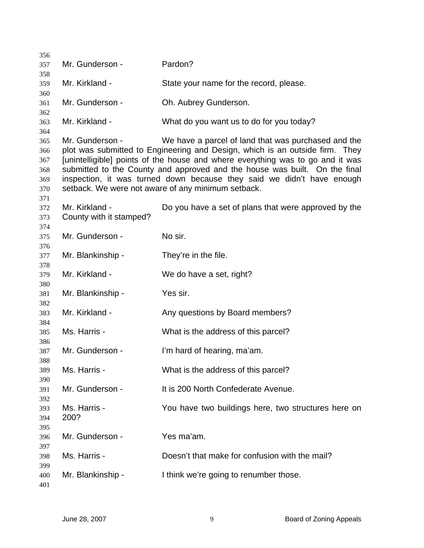| 356        |                         |                                                                                                                              |
|------------|-------------------------|------------------------------------------------------------------------------------------------------------------------------|
| 357        | Mr. Gunderson -         | Pardon?                                                                                                                      |
| 358<br>359 | Mr. Kirkland -          | State your name for the record, please.                                                                                      |
| 360        |                         |                                                                                                                              |
| 361        | Mr. Gunderson -         | Oh. Aubrey Gunderson.                                                                                                        |
| 362        |                         |                                                                                                                              |
| 363<br>364 | Mr. Kirkland -          | What do you want us to do for you today?                                                                                     |
| 365        | Mr. Gunderson -         | We have a parcel of land that was purchased and the                                                                          |
| 366        |                         | plot was submitted to Engineering and Design, which is an outside firm. They                                                 |
| 367        |                         | [unintelligible] points of the house and where everything was to go and it was                                               |
| 368        |                         | submitted to the County and approved and the house was built. On the final                                                   |
| 369<br>370 |                         | inspection, it was turned down because they said we didn't have enough<br>setback. We were not aware of any minimum setback. |
| 371        |                         |                                                                                                                              |
| 372        | Mr. Kirkland -          | Do you have a set of plans that were approved by the                                                                         |
| 373        | County with it stamped? |                                                                                                                              |
| 374        |                         |                                                                                                                              |
| 375        | Mr. Gunderson -         | No sir.                                                                                                                      |
| 376<br>377 | Mr. Blankinship -       | They're in the file.                                                                                                         |
| 378        |                         |                                                                                                                              |
| 379        | Mr. Kirkland -          | We do have a set, right?                                                                                                     |
| 380        |                         |                                                                                                                              |
| 381<br>382 | Mr. Blankinship -       | Yes sir.                                                                                                                     |
| 383        | Mr. Kirkland -          | Any questions by Board members?                                                                                              |
| 384        |                         |                                                                                                                              |
| 385        | Ms. Harris -            | What is the address of this parcel?                                                                                          |
| 386        |                         |                                                                                                                              |
| 387<br>388 | Mr. Gunderson -         | I'm hard of hearing, ma'am.                                                                                                  |
| 389        | Ms. Harris -            | What is the address of this parcel?                                                                                          |
| 390        |                         |                                                                                                                              |
| 391        | Mr. Gunderson -         | It is 200 North Confederate Avenue.                                                                                          |
| 392        | Ms. Harris -            |                                                                                                                              |
| 393<br>394 | 200?                    | You have two buildings here, two structures here on                                                                          |
| 395        |                         |                                                                                                                              |
| 396        | Mr. Gunderson -         | Yes ma'am.                                                                                                                   |
| 397        |                         |                                                                                                                              |
| 398        | Ms. Harris -            | Doesn't that make for confusion with the mail?                                                                               |
| 399<br>400 | Mr. Blankinship -       | I think we're going to renumber those.                                                                                       |
| 401        |                         |                                                                                                                              |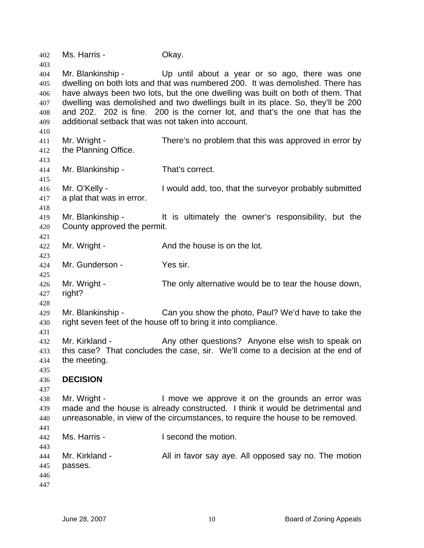Ms. Harris - Okay. Mr. Blankinship - Up until about a year or so ago, there was one dwelling on both lots and that was numbered 200. It was demolished. There has have always been two lots, but the one dwelling was built on both of them. That dwelling was demolished and two dwellings built in its place. So, they'll be 200 and 202. 202 is fine. 200 is the corner lot, and that's the one that has the additional setback that was not taken into account. Mr. Wright - There's no problem that this was approved in error by the Planning Office. Mr. Blankinship - That's correct. Mr. O'Kelly - I would add, too, that the surveyor probably submitted a plat that was in error. Mr. Blankinship - The is ultimately the owner's responsibility, but the County approved the permit. Mr. Wright - The And the house is on the lot. Mr. Gunderson - Yes sir. Mr. Wright - The only alternative would be to tear the house down, right? Mr. Blankinship - Can you show the photo, Paul? We'd have to take the right seven feet of the house off to bring it into compliance. Mr. Kirkland - Any other questions? Anyone else wish to speak on this case? That concludes the case, sir. We'll come to a decision at the end of the meeting. **DECISION**  Mr. Wright - The Move we approve it on the grounds an error was made and the house is already constructed. I think it would be detrimental and unreasonable, in view of the circumstances, to require the house to be removed. Ms. Harris - The Late Cond the motion. Mr. Kirkland - All in favor say aye. All opposed say no. The motion passes.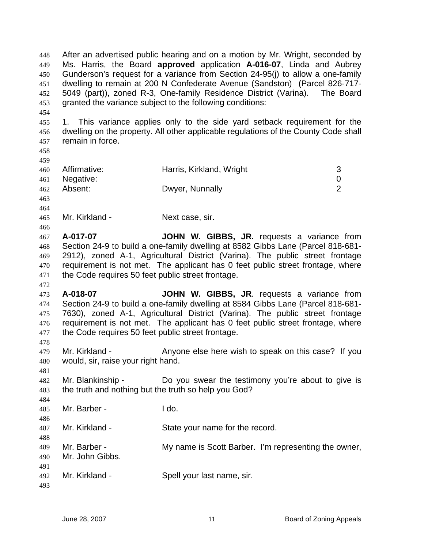After an advertised public hearing and on a motion by Mr. Wright, seconded by Ms. Harris, the Board **approved** application **A-016-07**, Linda and Aubrey Gunderson's request for a variance from Section 24-95(j) to allow a one-family dwelling to remain at 200 N Confederate Avenue (Sandston) (Parcel 826-717- 5049 (part)), zoned R-3, One-family Residence District (Varina). The Board granted the variance subject to the following conditions: 448 449 450 451 452 453

455 456 457 1. This variance applies only to the side yard setback requirement for the dwelling on the property. All other applicable regulations of the County Code shall remain in force.

458 459

454

| 460 | Affirmative:  | Harris, Kirkland, Wright |                       |
|-----|---------------|--------------------------|-----------------------|
|     | 461 Negative: |                          |                       |
| 462 | Absent:       | Dwyer, Nunnally          | $\mathbf{2}^{\prime}$ |
| 463 |               |                          |                       |

464

466

472

478

481

484

488 489 490

465 Mr. Kirkland - Next case, sir.

467 468 469 470 471 **A-017-07 JOHN W. GIBBS, JR.** requests a variance from Section 24-9 to build a one-family dwelling at 8582 Gibbs Lane (Parcel 818-681- 2912), zoned A-1, Agricultural District (Varina). The public street frontage requirement is not met. The applicant has 0 feet public street frontage, where the Code requires 50 feet public street frontage.

473 474 475 476 477 **A-018-07 JOHN W. GIBBS, JR**. requests a variance from Section 24-9 to build a one-family dwelling at 8584 Gibbs Lane (Parcel 818-681- 7630), zoned A-1, Agricultural District (Varina). The public street frontage requirement is not met. The applicant has 0 feet public street frontage, where the Code requires 50 feet public street frontage.

479 480 Mr. Kirkland - Anyone else here wish to speak on this case? If you would, sir, raise your right hand.

482 483 Mr. Blankinship - Do you swear the testimony you're about to give is the truth and nothing but the truth so help you God?

485 486 Mr. Barber - I do.

487 Mr. Kirkland - State your name for the record.

Mr. Barber - My name is Scott Barber. I'm representing the owner, Mr. John Gibbs.

491 492 Mr. Kirkland - Spell your last name, sir.

493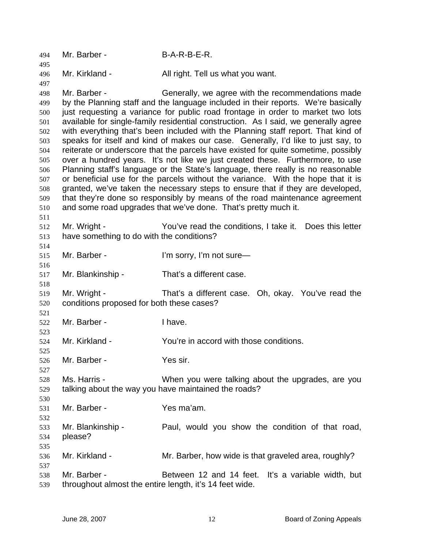| 494        | Mr. Barber -                                            | B-A-R-B-E-R.                                                                        |
|------------|---------------------------------------------------------|-------------------------------------------------------------------------------------|
| 495<br>496 | Mr. Kirkland -                                          | All right. Tell us what you want.                                                   |
| 497        |                                                         |                                                                                     |
| 498        | Mr. Barber -                                            | Generally, we agree with the recommendations made                                   |
| 499        |                                                         | by the Planning staff and the language included in their reports. We're basically   |
| 500        |                                                         | just requesting a variance for public road frontage in order to market two lots     |
| 501        |                                                         | available for single-family residential construction. As I said, we generally agree |
| 502        |                                                         | with everything that's been included with the Planning staff report. That kind of   |
| 503        |                                                         | speaks for itself and kind of makes our case. Generally, I'd like to just say, to   |
| 504        |                                                         | reiterate or underscore that the parcels have existed for quite sometime, possibly  |
| 505        |                                                         | over a hundred years. It's not like we just created these. Furthermore, to use      |
| 506        |                                                         | Planning staff's language or the State's language, there really is no reasonable    |
| 507        |                                                         | or beneficial use for the parcels without the variance. With the hope that it is    |
| 508        |                                                         | granted, we've taken the necessary steps to ensure that if they are developed,      |
| 509        |                                                         | that they're done so responsibly by means of the road maintenance agreement         |
| 510        |                                                         | and some road upgrades that we've done. That's pretty much it.                      |
| 511        |                                                         |                                                                                     |
| 512        | Mr. Wright -                                            | You've read the conditions, I take it. Does this letter                             |
| 513        | have something to do with the conditions?               |                                                                                     |
| 514        |                                                         |                                                                                     |
| 515        | Mr. Barber -                                            | I'm sorry, I'm not sure-                                                            |
| 516        |                                                         |                                                                                     |
| 517        | Mr. Blankinship -                                       | That's a different case.                                                            |
| 518        |                                                         |                                                                                     |
| 519        | Mr. Wright -                                            | That's a different case. Oh, okay. You've read the                                  |
| 520        | conditions proposed for both these cases?               |                                                                                     |
| 521        |                                                         |                                                                                     |
| 522        | Mr. Barber -                                            | I have.                                                                             |
| 523        |                                                         |                                                                                     |
| 524        | Mr. Kirkland -                                          | You're in accord with those conditions.                                             |
| 525        |                                                         |                                                                                     |
| 526        | Mr. Barber -                                            | Yes sir.                                                                            |
| 527        |                                                         |                                                                                     |
| 528        | Ms. Harris -                                            | When you were talking about the upgrades, are you                                   |
| 529        |                                                         | talking about the way you have maintained the roads?                                |
| 530        |                                                         |                                                                                     |
| 531        | Mr. Barber -                                            | Yes ma'am.                                                                          |
| 532        |                                                         |                                                                                     |
| 533        | Mr. Blankinship -                                       | Paul, would you show the condition of that road,                                    |
| 534        | please?                                                 |                                                                                     |
| 535        |                                                         |                                                                                     |
| 536        | Mr. Kirkland -                                          | Mr. Barber, how wide is that graveled area, roughly?                                |
| 537        |                                                         |                                                                                     |
| 538        | Mr. Barber -                                            | Between 12 and 14 feet. It's a variable width, but                                  |
| 539        | throughout almost the entire length, it's 14 feet wide. |                                                                                     |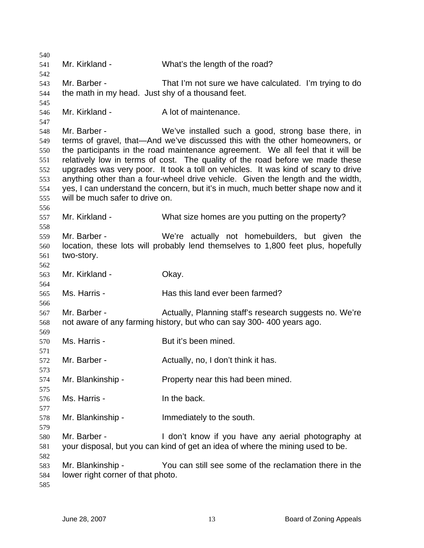Mr. Kirkland - What's the length of the road? Mr. Barber - That I'm not sure we have calculated. I'm trying to do the math in my head. Just shy of a thousand feet. Mr. Kirkland - A lot of maintenance. Mr. Barber - We've installed such a good, strong base there, in terms of gravel, that—And we've discussed this with the other homeowners, or the participants in the road maintenance agreement. We all feel that it will be relatively low in terms of cost. The quality of the road before we made these upgrades was very poor. It took a toll on vehicles. It was kind of scary to drive anything other than a four-wheel drive vehicle. Given the length and the width, yes, I can understand the concern, but it's in much, much better shape now and it will be much safer to drive on. Mr. Kirkland - What size homes are you putting on the property? Mr. Barber - We're actually not homebuilders, but given the location, these lots will probably lend themselves to 1,800 feet plus, hopefully two-story. Mr. Kirkland - **Okay.** Ms. Harris - The Has this land ever been farmed? Mr. Barber - The Actually, Planning staff's research suggests no. We're not aware of any farming history, but who can say 300- 400 years ago. Ms. Harris - The But it's been mined. Mr. Barber - **Actually, no, I don't think it has.** Mr. Blankinship - Property near this had been mined. Ms. Harris - The back. Mr. Blankinship - Immediately to the south. Mr. Barber - I don't know if you have any aerial photography at your disposal, but you can kind of get an idea of where the mining used to be. Mr. Blankinship - You can still see some of the reclamation there in the lower right corner of that photo.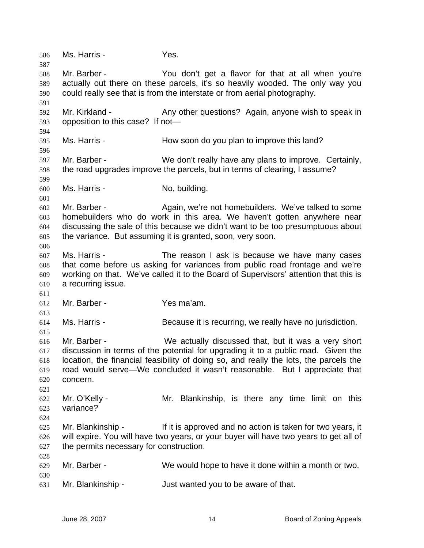586 Ms. Harris - Yes. 587 588 589 590 591 592 593 594 595 596 597 598 599 600 601 602 603 604 605 606 607 608 609 610 611 612 613 614 615 616 617 618 619 620 621 622 623 624 625 626 627 628 629 630 631 Mr. Barber - You don't get a flavor for that at all when you're actually out there on these parcels, it's so heavily wooded. The only way you could really see that is from the interstate or from aerial photography. Mr. Kirkland - Any other questions? Again, anyone wish to speak in opposition to this case? If not— Ms. Harris - How soon do you plan to improve this land? Mr. Barber - We don't really have any plans to improve. Certainly, the road upgrades improve the parcels, but in terms of clearing, I assume? Ms. Harris - No, building. Mr. Barber - The Again, we're not homebuilders. We've talked to some homebuilders who do work in this area. We haven't gotten anywhere near discussing the sale of this because we didn't want to be too presumptuous about the variance. But assuming it is granted, soon, very soon. Ms. Harris - The reason I ask is because we have many cases that come before us asking for variances from public road frontage and we're working on that. We've called it to the Board of Supervisors' attention that this is a recurring issue. Mr. Barber - Yes ma'am. Ms. Harris - Because it is recurring, we really have no jurisdiction. Mr. Barber - We actually discussed that, but it was a very short discussion in terms of the potential for upgrading it to a public road. Given the location, the financial feasibility of doing so, and really the lots, the parcels the road would serve—We concluded it wasn't reasonable. But I appreciate that concern. Mr. O'Kelly - The Mr. Blankinship, is there any time limit on this variance? Mr. Blankinship - The If it is approved and no action is taken for two years, it will expire. You will have two years, or your buyer will have two years to get all of the permits necessary for construction. Mr. Barber - We would hope to have it done within a month or two. Mr. Blankinship - Just wanted you to be aware of that.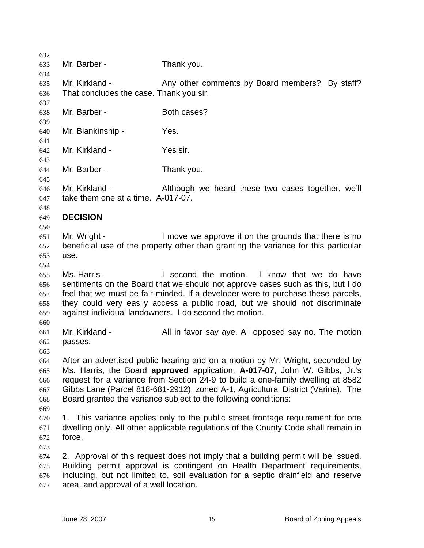632 633 634 635 636 637 638 639 640 641 642 643 644 645 646 647 648 649 650 651 652 653 654 655 656 657 658 659 660 661 662 663 664 665 666 667 668 669 670 671 672 673 674 675 676 677 Mr. Barber - Thank you. Mr. Kirkland - The Any other comments by Board members? By staff? That concludes the case. Thank you sir. Mr. Barber - Both cases? Mr. Blankinship - Yes. Mr. Kirkland - Yes sir. Mr. Barber - Thank you. Mr. Kirkland - Although we heard these two cases together, we'll take them one at a time. A-017-07. **DECISION**  Mr. Wright - The Move we approve it on the grounds that there is no beneficial use of the property other than granting the variance for this particular use. Ms. Harris - I second the motion. I know that we do have sentiments on the Board that we should not approve cases such as this, but I do feel that we must be fair-minded. If a developer were to purchase these parcels, they could very easily access a public road, but we should not discriminate against individual landowners. I do second the motion. Mr. Kirkland - **All in favor say aye.** All opposed say no. The motion passes. After an advertised public hearing and on a motion by Mr. Wright, seconded by Ms. Harris, the Board **approved** application, **A-017-07,** John W. Gibbs, Jr.'s request for a variance from Section 24-9 to build a one-family dwelling at 8582 Gibbs Lane (Parcel 818-681-2912), zoned A-1, Agricultural District (Varina). The Board granted the variance subject to the following conditions: 1. This variance applies only to the public street frontage requirement for one dwelling only. All other applicable regulations of the County Code shall remain in force. 2. Approval of this request does not imply that a building permit will be issued. Building permit approval is contingent on Health Department requirements, including, but not limited to, soil evaluation for a septic drainfield and reserve area, and approval of a well location.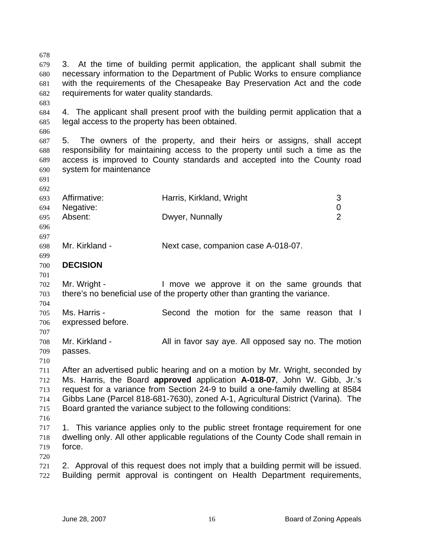679 680 681 682 683 684 685 686 687 688 689 3. At the time of building permit application, the applicant shall submit the necessary information to the Department of Public Works to ensure compliance with the requirements of the Chesapeake Bay Preservation Act and the code requirements for water quality standards. 4. The applicant shall present proof with the building permit application that a legal access to the property has been obtained. 5. The owners of the property, and their heirs or assigns, shall accept responsibility for maintaining access to the property until such a time as the access is improved to County standards and accepted into the County road

690 691 system for maintenance

678

692 693 694 695 696 Affirmative: **Harris, Kirkland, Wright** 3 Negative: 0 Absent: Dwyer, Nunnally 2

698 Mr. Kirkland - Next case, companion case A-018-07.

700 **DECISION** 

701

697

699

702 703 Mr. Wright - I move we approve it on the same grounds that there's no beneficial use of the property other than granting the variance.

704 705 706 Ms. Harris - Second the motion for the same reason that I expressed before.

707 708 709 Mr. Kirkland - All in favor say aye. All opposed say no. The motion passes.

710

711 712 713 714 715 After an advertised public hearing and on a motion by Mr. Wright, seconded by Ms. Harris, the Board **approved** application **A-018-07**, John W. Gibb, Jr.'s request for a variance from Section 24-9 to build a one-family dwelling at 8584 Gibbs Lane (Parcel 818-681-7630), zoned A-1, Agricultural District (Varina). The Board granted the variance subject to the following conditions:

716

717 718 719 1. This variance applies only to the public street frontage requirement for one dwelling only. All other applicable regulations of the County Code shall remain in force.

720

721 722 2. Approval of this request does not imply that a building permit will be issued. Building permit approval is contingent on Health Department requirements,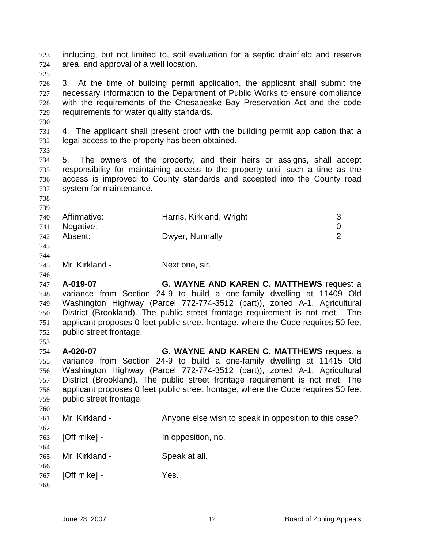including, but not limited to, soil evaluation for a septic drainfield and reserve area, and approval of a well location. 723 724

726 727 728 729 3. At the time of building permit application, the applicant shall submit the necessary information to the Department of Public Works to ensure compliance with the requirements of the Chesapeake Bay Preservation Act and the code requirements for water quality standards.

731 732 4. The applicant shall present proof with the building permit application that a legal access to the property has been obtained.

733

730

725

734 735 736 737 5. The owners of the property, and their heirs or assigns, shall accept responsibility for maintaining access to the property until such a time as the access is improved to County standards and accepted into the County road system for maintenance.

738 739

746

| 740 | Affirmative: | Harris, Kirkland, Wright | 3             |
|-----|--------------|--------------------------|---------------|
| 741 | Negative:    |                          | 0             |
| 742 | Absent:      | Dwyer, Nunnally          | $\mathcal{P}$ |
| 743 |              |                          |               |
| 744 |              |                          |               |

745 Mr. Kirkland - Next one, sir.

747 748 749 750 751 752 753 **A-019-07 G. WAYNE AND KAREN C. MATTHEWS** request a variance from Section 24-9 to build a one-family dwelling at 11409 Old Washington Highway (Parcel 772-774-3512 (part)), zoned A-1, Agricultural District (Brookland). The public street frontage requirement is not met. The applicant proposes 0 feet public street frontage, where the Code requires 50 feet public street frontage.

- 754 755 756 757 758 759 760 **A-020-07 G. WAYNE AND KAREN C. MATTHEWS** request a variance from Section 24-9 to build a one-family dwelling at 11415 Old Washington Highway (Parcel 772-774-3512 (part)), zoned A-1, Agricultural District (Brookland). The public street frontage requirement is not met. The applicant proposes 0 feet public street frontage, where the Code requires 50 feet public street frontage.
- 761 Mr. Kirkland - Anyone else wish to speak in opposition to this case?
- 763 [Off mike] - The opposition, no.
- 765 Mr. Kirkland - Speak at all.
- 766 767 [Off mike] - Yes.
- 768

762

764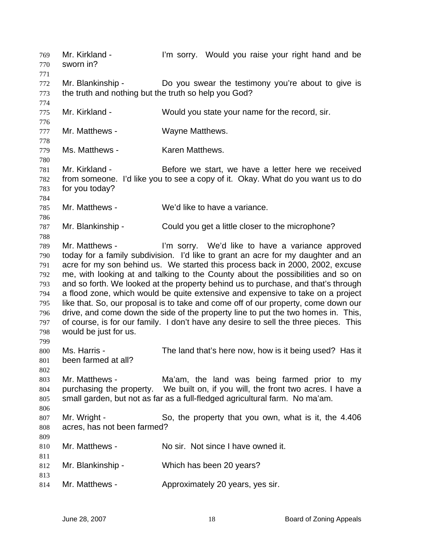Mr. Kirkland - I'm sorry. Would you raise your right hand and be sworn in? 769 770 771 772 773 774 775 776 777 778 779 780 781 782 783 784 785 786 787 788 789 790 791 792 793 794 795 796 797 798 799 800 801 802 803 804 805 806 807 808 809 810 811 812 813 814 Mr. Blankinship - Do you swear the testimony you're about to give is the truth and nothing but the truth so help you God? Mr. Kirkland - Would you state your name for the record, sir. Mr. Matthews - Wayne Matthews. Ms. Matthews - Karen Matthews. Mr. Kirkland - Before we start, we have a letter here we received from someone. I'd like you to see a copy of it. Okay. What do you want us to do for you today? Mr. Matthews - We'd like to have a variance. Mr. Blankinship - Could you get a little closer to the microphone? Mr. Matthews - I'm sorry. We'd like to have a variance approved today for a family subdivision. I'd like to grant an acre for my daughter and an acre for my son behind us. We started this process back in 2000, 2002, excuse me, with looking at and talking to the County about the possibilities and so on and so forth. We looked at the property behind us to purchase, and that's through a flood zone, which would be quite extensive and expensive to take on a project like that. So, our proposal is to take and come off of our property, come down our drive, and come down the side of the property line to put the two homes in. This, of course, is for our family. I don't have any desire to sell the three pieces. This would be just for us. Ms. Harris - The land that's here now, how is it being used? Has it been farmed at all? Mr. Matthews - The Ma'am, the land was being farmed prior to my purchasing the property. We built on, if you will, the front two acres. I have a small garden, but not as far as a full-fledged agricultural farm. No ma'am. Mr. Wright - So, the property that you own, what is it, the 4.406 acres, has not been farmed? Mr. Matthews - No sir. Not since I have owned it. Mr. Blankinship - Which has been 20 years? Mr. Matthews - Approximately 20 years, yes sir.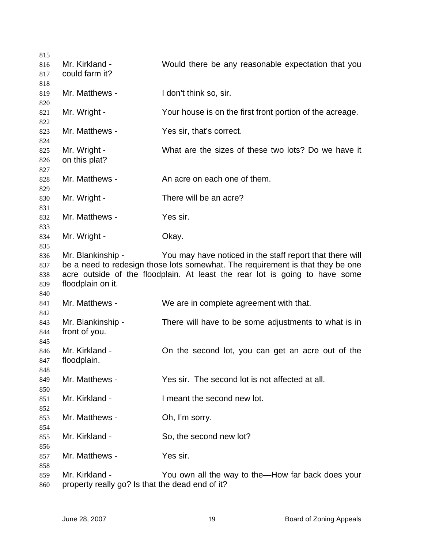Mr. Kirkland - Would there be any reasonable expectation that you could farm it? Mr. Matthews - I don't think so, sir. Mr. Wright - Your house is on the first front portion of the acreage. Mr. Matthews - Yes sir, that's correct. Mr. Wright - What are the sizes of these two lots? Do we have it on this plat? Mr. Matthews - An acre on each one of them. Mr. Wright - There will be an acre? Mr. Matthews - Yes sir. Mr. Wright - Chay. Mr. Blankinship - You may have noticed in the staff report that there will be a need to redesign those lots somewhat. The requirement is that they be one acre outside of the floodplain. At least the rear lot is going to have some floodplain on it. Mr. Matthews - We are in complete agreement with that. Mr. Blankinship - There will have to be some adjustments to what is in front of you. Mr. Kirkland - Check the second lot, you can get an acre out of the floodplain. Mr. Matthews - Yes sir. The second lot is not affected at all. Mr. Kirkland - **I** meant the second new lot. Mr. Matthews - Ch, I'm sorry. Mr. Kirkland - So, the second new lot? Mr. Matthews - Yes sir. Mr. Kirkland - You own all the way to the—How far back does your property really go? Is that the dead end of it?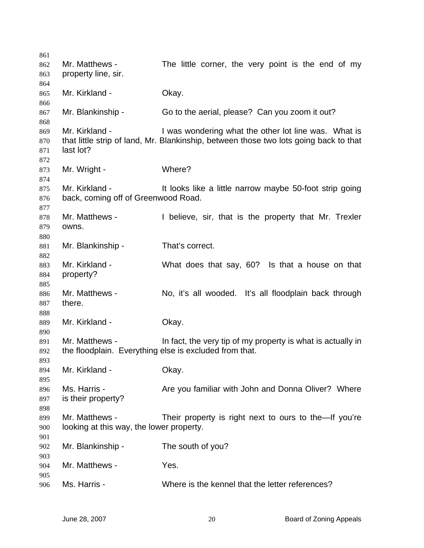| 861<br>862<br>863        | Mr. Matthews -<br>property line, sir.                                    | The little corner, the very point is the end of my                                                                                            |
|--------------------------|--------------------------------------------------------------------------|-----------------------------------------------------------------------------------------------------------------------------------------------|
| 864<br>865               | Mr. Kirkland -                                                           | Okay.                                                                                                                                         |
| 866<br>867<br>868        | Mr. Blankinship -                                                        | Go to the aerial, please? Can you zoom it out?                                                                                                |
| 869<br>870<br>871<br>872 | Mr. Kirkland -<br>last lot?                                              | I was wondering what the other lot line was. What is<br>that little strip of land, Mr. Blankinship, between those two lots going back to that |
| 873<br>874               | Mr. Wright -                                                             | Where?                                                                                                                                        |
| 875<br>876<br>877        | Mr. Kirkland -<br>back, coming off of Greenwood Road.                    | It looks like a little narrow maybe 50-foot strip going                                                                                       |
| 878<br>879<br>880        | Mr. Matthews -<br>owns.                                                  | I believe, sir, that is the property that Mr. Trexler                                                                                         |
| 881<br>882               | Mr. Blankinship -                                                        | That's correct.                                                                                                                               |
| 883<br>884<br>885        | Mr. Kirkland -<br>property?                                              | What does that say, 60? Is that a house on that                                                                                               |
| 886<br>887               | Mr. Matthews -<br>there.                                                 | No, it's all wooded. It's all floodplain back through                                                                                         |
| 888<br>889<br>890        | Mr. Kirkland -                                                           | Okay.                                                                                                                                         |
| 891<br>892<br>893        | Mr. Matthews -<br>the floodplain. Everything else is excluded from that. | In fact, the very tip of my property is what is actually in                                                                                   |
| 894<br>895               | Mr. Kirkland -                                                           | Okay.                                                                                                                                         |
| 896<br>897<br>898        | Ms. Harris -<br>is their property?                                       | Are you familiar with John and Donna Oliver? Where                                                                                            |
| 899<br>900<br>901        | Mr. Matthews -<br>looking at this way, the lower property.               | Their property is right next to ours to the—If you're                                                                                         |
| 902<br>903               | Mr. Blankinship -                                                        | The south of you?                                                                                                                             |
| 904<br>905               | Mr. Matthews -                                                           | Yes.                                                                                                                                          |
| 906                      | Ms. Harris -                                                             | Where is the kennel that the letter references?                                                                                               |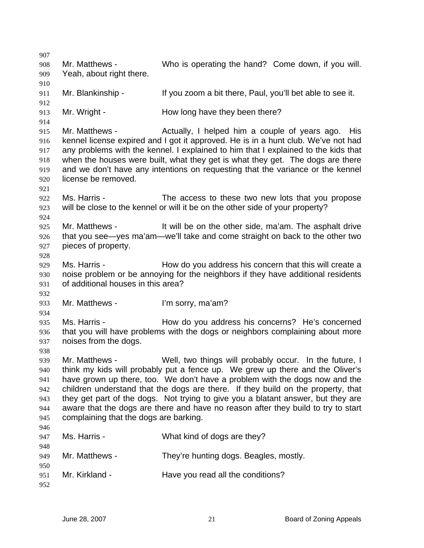907 908 909 910 911 912 913 914 915 916 917 918 919 920 921 922 923 924 925 926 927 928 929 930 931 932 933 934 935 936 937 938 939 940 941 942 943 944 945 946 947 948 949 950 951 952 Mr. Matthews - Who is operating the hand? Come down, if you will. Yeah, about right there. Mr. Blankinship - If you zoom a bit there, Paul, you'll bet able to see it. Mr. Wright - How long have they been there? Mr. Matthews - The Actually, I helped him a couple of years ago. His kennel license expired and I got it approved. He is in a hunt club. We've not had any problems with the kennel. I explained to him that I explained to the kids that when the houses were built, what they get is what they get. The dogs are there and we don't have any intentions on requesting that the variance or the kennel license be removed. Ms. Harris - The access to these two new lots that you propose will be close to the kennel or will it be on the other side of your property? Mr. Matthews - It will be on the other side, ma'am. The asphalt drive that you see—yes ma'am—we'll take and come straight on back to the other two pieces of property. Ms. Harris - **How do you address his concern that this will create a** noise problem or be annoying for the neighbors if they have additional residents of additional houses in this area? Mr. Matthews - I'm sorry, ma'am? Ms. Harris - How do you address his concerns? He's concerned that you will have problems with the dogs or neighbors complaining about more noises from the dogs. Mr. Matthews - Well, two things will probably occur. In the future, I think my kids will probably put a fence up. We grew up there and the Oliver's have grown up there, too. We don't have a problem with the dogs now and the children understand that the dogs are there. If they build on the property, that they get part of the dogs. Not trying to give you a blatant answer, but they are aware that the dogs are there and have no reason after they build to try to start complaining that the dogs are barking. Ms. Harris - What kind of dogs are they? Mr. Matthews - They're hunting dogs. Beagles, mostly. Mr. Kirkland - Have you read all the conditions?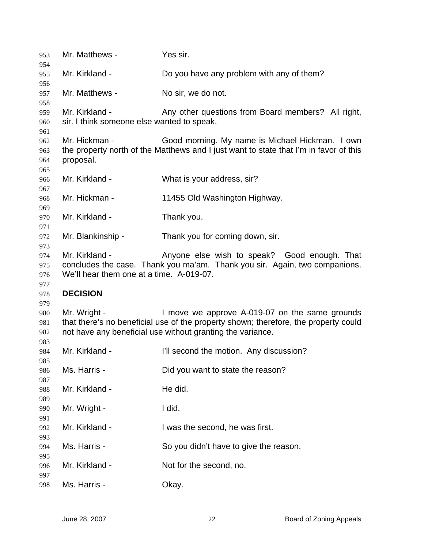| 953<br>954 | Mr. Matthews -                             | Yes sir.                                                                              |
|------------|--------------------------------------------|---------------------------------------------------------------------------------------|
| 955        | Mr. Kirkland -                             | Do you have any problem with any of them?                                             |
| 956        |                                            |                                                                                       |
| 957<br>958 | Mr. Matthews -                             | No sir, we do not.                                                                    |
| 959        | Mr. Kirkland -                             | Any other questions from Board members? All right,                                    |
| 960        | sir. I think someone else wanted to speak. |                                                                                       |
| 961        |                                            |                                                                                       |
| 962        | Mr. Hickman -                              | Good morning. My name is Michael Hickman. I own                                       |
| 963        |                                            | the property north of the Matthews and I just want to state that I'm in favor of this |
| 964        | proposal.                                  |                                                                                       |
| 965        |                                            |                                                                                       |
| 966        | Mr. Kirkland -                             | What is your address, sir?                                                            |
| 967        | Mr. Hickman -                              | 11455 Old Washington Highway.                                                         |
| 968<br>969 |                                            |                                                                                       |
| 970        | Mr. Kirkland -                             | Thank you.                                                                            |
| 971        |                                            |                                                                                       |
| 972        | Mr. Blankinship -                          | Thank you for coming down, sir.                                                       |
| 973        |                                            |                                                                                       |
| 974        | Mr. Kirkland -                             | Anyone else wish to speak? Good enough. That                                          |
| 975        |                                            | concludes the case. Thank you ma'am. Thank you sir. Again, two companions.            |
| 976        | We'll hear them one at a time. A-019-07.   |                                                                                       |
| 977        |                                            |                                                                                       |
| 978        | <b>DECISION</b>                            |                                                                                       |
| 979        |                                            |                                                                                       |
| 980        | Mr. Wright -                               | I move we approve A-019-07 on the same grounds                                        |
| 981        |                                            | that there's no beneficial use of the property shown; therefore, the property could   |
| 982        |                                            | not have any beneficial use without granting the variance.                            |
| 983        |                                            |                                                                                       |
| 984        | Mr. Kirkland -                             | I'll second the motion. Any discussion?                                               |
| 985        |                                            |                                                                                       |
| 986        |                                            |                                                                                       |
| 987        | Ms. Harris -                               | Did you want to state the reason?                                                     |
|            |                                            |                                                                                       |
| 988        | Mr. Kirkland -                             | He did.                                                                               |
| 989        |                                            |                                                                                       |
| 990        | Mr. Wright -                               | I did.                                                                                |
| 991        |                                            |                                                                                       |
| 992        | Mr. Kirkland -                             | I was the second, he was first.                                                       |
| 993        |                                            |                                                                                       |
| 994        | Ms. Harris -                               | So you didn't have to give the reason.                                                |
| 995        | Mr. Kirkland -                             |                                                                                       |
| 996<br>997 |                                            | Not for the second, no.                                                               |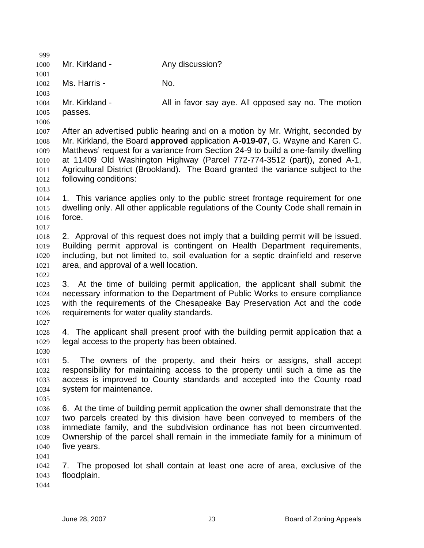| 999          |                                                 |                                                                                                                                                               |
|--------------|-------------------------------------------------|---------------------------------------------------------------------------------------------------------------------------------------------------------------|
| 1000         | Mr. Kirkland -                                  | Any discussion?                                                                                                                                               |
| 1001         |                                                 |                                                                                                                                                               |
| 1002         | Ms. Harris -                                    | No.                                                                                                                                                           |
| 1003<br>1004 | Mr. Kirkland -                                  | All in favor say aye. All opposed say no. The motion                                                                                                          |
| 1005         | passes.                                         |                                                                                                                                                               |
| 1006         |                                                 |                                                                                                                                                               |
| 1007<br>1008 |                                                 | After an advertised public hearing and on a motion by Mr. Wright, seconded by<br>Mr. Kirkland, the Board approved application A-019-07, G. Wayne and Karen C. |
| 1009<br>1010 |                                                 | Matthews' request for a variance from Section 24-9 to build a one-family dwelling<br>at 11409 Old Washington Highway (Parcel 772-774-3512 (part)), zoned A-1, |
| 1011         |                                                 | Agricultural District (Brookland). The Board granted the variance subject to the                                                                              |
| 1012         | following conditions:                           |                                                                                                                                                               |
| 1013         |                                                 |                                                                                                                                                               |
| 1014         |                                                 | 1. This variance applies only to the public street frontage requirement for one                                                                               |
| 1015         | force.                                          | dwelling only. All other applicable regulations of the County Code shall remain in                                                                            |
| 1016         |                                                 |                                                                                                                                                               |
| 1017         |                                                 | 2. Approval of this request does not imply that a building permit will be issued.                                                                             |
| 1018<br>1019 |                                                 | Building permit approval is contingent on Health Department requirements,                                                                                     |
|              |                                                 | including, but not limited to, soil evaluation for a septic drainfield and reserve                                                                            |
| 1020<br>1021 | area, and approval of a well location.          |                                                                                                                                                               |
| 1022         |                                                 |                                                                                                                                                               |
| 1023         |                                                 | 3. At the time of building permit application, the applicant shall submit the                                                                                 |
| 1024         |                                                 | necessary information to the Department of Public Works to ensure compliance                                                                                  |
| 1025         |                                                 | with the requirements of the Chesapeake Bay Preservation Act and the code                                                                                     |
| 1026         | requirements for water quality standards.       |                                                                                                                                                               |
| 1027         |                                                 |                                                                                                                                                               |
| 1028         |                                                 | 4. The applicant shall present proof with the building permit application that a                                                                              |
| 1029         | legal access to the property has been obtained. |                                                                                                                                                               |
| 1030         |                                                 |                                                                                                                                                               |
| 1031         |                                                 | 5. The owners of the property, and their heirs or assigns, shall accept                                                                                       |
| 1032         |                                                 | responsibility for maintaining access to the property until such a time as the                                                                                |
| 1033         |                                                 | access is improved to County standards and accepted into the County road                                                                                      |
| 1034         | system for maintenance.                         |                                                                                                                                                               |
| 1035         |                                                 |                                                                                                                                                               |
| 1036         |                                                 | 6. At the time of building permit application the owner shall demonstrate that the                                                                            |
| 1037         |                                                 | two parcels created by this division have been conveyed to members of the                                                                                     |
| 1038         |                                                 | immediate family, and the subdivision ordinance has not been circumvented.                                                                                    |
| 1039         |                                                 | Ownership of the parcel shall remain in the immediate family for a minimum of                                                                                 |
| 1040         | five years.                                     |                                                                                                                                                               |
| 1041         |                                                 |                                                                                                                                                               |
| 1042         | 7.                                              | The proposed lot shall contain at least one acre of area, exclusive of the                                                                                    |
| 1043         | floodplain.                                     |                                                                                                                                                               |
| 1044         |                                                 |                                                                                                                                                               |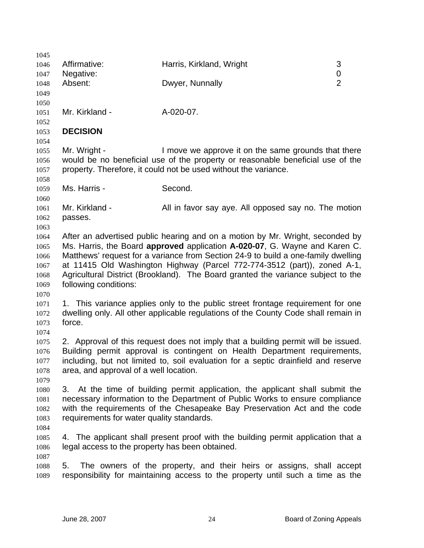| 1045         |                                                 |                                                                                    |                |
|--------------|-------------------------------------------------|------------------------------------------------------------------------------------|----------------|
| 1046         | Affirmative:                                    | Harris, Kirkland, Wright                                                           | 3              |
| 1047         | Negative:                                       |                                                                                    | 0              |
| 1048         | Absent:                                         | Dwyer, Nunnally                                                                    | $\overline{2}$ |
| 1049         |                                                 |                                                                                    |                |
| 1050         |                                                 |                                                                                    |                |
| 1051         | Mr. Kirkland -                                  | A-020-07.                                                                          |                |
| 1052<br>1053 | <b>DECISION</b>                                 |                                                                                    |                |
| 1054         |                                                 |                                                                                    |                |
| 1055         | Mr. Wright -                                    | I move we approve it on the same grounds that there                                |                |
| 1056         |                                                 | would be no beneficial use of the property or reasonable beneficial use of the     |                |
| 1057         |                                                 | property. Therefore, it could not be used without the variance.                    |                |
| 1058         |                                                 |                                                                                    |                |
| 1059         | Ms. Harris -                                    | Second.                                                                            |                |
| 1060         |                                                 |                                                                                    |                |
| 1061         | Mr. Kirkland -                                  | All in favor say aye. All opposed say no. The motion                               |                |
| 1062         | passes.                                         |                                                                                    |                |
| 1063         |                                                 |                                                                                    |                |
| 1064         |                                                 | After an advertised public hearing and on a motion by Mr. Wright, seconded by      |                |
| 1065         |                                                 | Ms. Harris, the Board approved application A-020-07, G. Wayne and Karen C.         |                |
| 1066         |                                                 | Matthews' request for a variance from Section 24-9 to build a one-family dwelling  |                |
| 1067         |                                                 | at 11415 Old Washington Highway (Parcel 772-774-3512 (part)), zoned A-1,           |                |
| 1068         |                                                 | Agricultural District (Brookland). The Board granted the variance subject to the   |                |
| 1069         | following conditions:                           |                                                                                    |                |
| 1070         |                                                 |                                                                                    |                |
| 1071         |                                                 | 1. This variance applies only to the public street frontage requirement for one    |                |
| 1072         |                                                 | dwelling only. All other applicable regulations of the County Code shall remain in |                |
| 1073         | force.                                          |                                                                                    |                |
| 1074<br>1075 |                                                 | 2. Approval of this request does not imply that a building permit will be issued.  |                |
| 1076         |                                                 | Building permit approval is contingent on Health Department requirements,          |                |
| 1077         |                                                 | including, but not limited to, soil evaluation for a septic drainfield and reserve |                |
| 1078         | area, and approval of a well location.          |                                                                                    |                |
| 1079         |                                                 |                                                                                    |                |
| 1080         |                                                 | 3. At the time of building permit application, the applicant shall submit the      |                |
| 1081         |                                                 | necessary information to the Department of Public Works to ensure compliance       |                |
| 1082         |                                                 | with the requirements of the Chesapeake Bay Preservation Act and the code          |                |
| 1083         | requirements for water quality standards.       |                                                                                    |                |
| 1084         |                                                 |                                                                                    |                |
| 1085         |                                                 | 4. The applicant shall present proof with the building permit application that a   |                |
| 1086         | legal access to the property has been obtained. |                                                                                    |                |
| 1087         |                                                 |                                                                                    |                |
| 1088         | 5.                                              | The owners of the property, and their heirs or assigns, shall accept               |                |
| 1089         |                                                 | responsibility for maintaining access to the property until such a time as the     |                |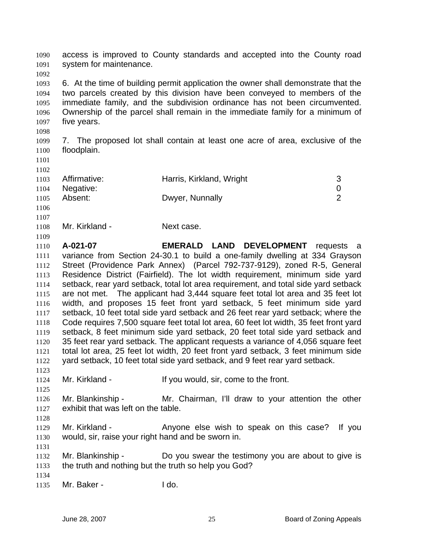access is improved to County standards and accepted into the County road system for maintenance. 1090 1091

1092 1093 1094 1095 1096 1097 6. At the time of building permit application the owner shall demonstrate that the two parcels created by this division have been conveyed to members of the immediate family, and the subdivision ordinance has not been circumvented. Ownership of the parcel shall remain in the immediate family for a minimum of five years.

1099 1100 7. The proposed lot shall contain at least one acre of area, exclusive of the floodplain.

Affirmative: **Harris, Kirkland, Wright** 3 Negative: 0 Absent: Dwyer, Nunnally 2

1101

1098

1102

- 1103 1104
- 
- 1105
- 1106
- 1107 1108

1109

Mr. Kirkland - Next case.

1110 1111 1112 1113 1114 1115 1116 1117 1118 1119 1120 1121 1122 **A-021-07 EMERALD LAND DEVELOPMENT** requests a variance from Section 24-30.1 to build a one-family dwelling at 334 Grayson Street (Providence Park Annex) (Parcel 792-737-9129), zoned R-5, General Residence District (Fairfield). The lot width requirement, minimum side yard setback, rear yard setback, total lot area requirement, and total side yard setback are not met. The applicant had 3,444 square feet total lot area and 35 feet lot width, and proposes 15 feet front yard setback, 5 feet minimum side yard setback, 10 feet total side yard setback and 26 feet rear yard setback; where the Code requires 7,500 square feet total lot area, 60 feet lot width, 35 feet front yard setback, 8 feet minimum side yard setback, 20 feet total side yard setback and 35 feet rear yard setback. The applicant requests a variance of 4,056 square feet total lot area, 25 feet lot width, 20 feet front yard setback, 3 feet minimum side yard setback, 10 feet total side yard setback, and 9 feet rear yard setback.

1124 Mr. Kirkland - The Music of the front is streamed to the front.

1126 1127 Mr. Blankinship - Mr. Chairman, I'll draw to your attention the other exhibit that was left on the table.

1129 1130 Mr. Kirkland - The Anyone else wish to speak on this case? If you would, sir, raise your right hand and be sworn in.

1132 1133 Mr. Blankinship - Do you swear the testimony you are about to give is the truth and nothing but the truth so help you God?

1134

1123

1125

1128

1131

1135 Mr. Baker - I do.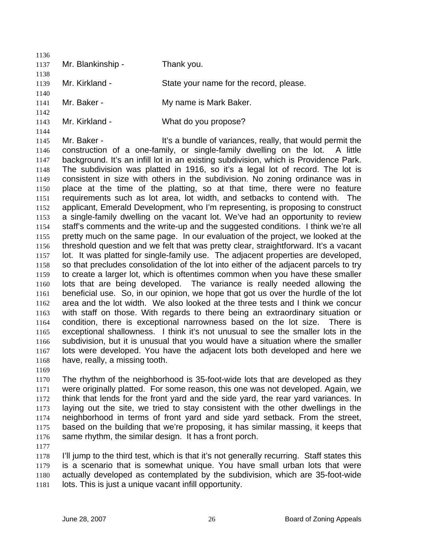| 1136 |                                |                                                                                       |
|------|--------------------------------|---------------------------------------------------------------------------------------|
| 1137 | Mr. Blankinship -              | Thank you.                                                                            |
| 1138 |                                |                                                                                       |
| 1139 | Mr. Kirkland -                 | State your name for the record, please.                                               |
| 1140 |                                |                                                                                       |
| 1141 | Mr. Baker -                    | My name is Mark Baker.                                                                |
| 1142 |                                |                                                                                       |
| 1143 | Mr. Kirkland -                 | What do you propose?                                                                  |
| 1144 |                                |                                                                                       |
| 1145 | Mr. Baker -                    | It's a bundle of variances, really, that would permit the                             |
| 1146 |                                | construction of a one-family, or single-family dwelling on the lot. A little          |
| 1147 |                                | background. It's an infill lot in an existing subdivision, which is Providence Park.  |
| 1148 |                                | The subdivision was platted in 1916, so it's a legal lot of record. The lot is        |
| 1149 |                                | consistent in size with others in the subdivision. No zoning ordinance was in         |
| 1150 |                                | place at the time of the platting, so at that time, there were no feature             |
| 1151 |                                | requirements such as lot area, lot width, and setbacks to contend with. The           |
| 1152 |                                | applicant, Emerald Development, who I'm representing, is proposing to construct       |
| 1153 |                                | a single-family dwelling on the vacant lot. We've had an opportunity to review        |
| 1154 |                                | staff's comments and the write-up and the suggested conditions. I think we're all     |
| 1155 |                                | pretty much on the same page. In our evaluation of the project, we looked at the      |
| 1156 |                                | threshold question and we felt that was pretty clear, straightforward. It's a vacant  |
| 1157 |                                | lot. It was platted for single-family use. The adjacent properties are developed,     |
| 1158 |                                | so that precludes consolidation of the lot into either of the adjacent parcels to try |
| 1159 |                                | to create a larger lot, which is oftentimes common when you have these smaller        |
| 1160 |                                | lots that are being developed. The variance is really needed allowing the             |
| 1161 |                                | beneficial use. So, in our opinion, we hope that got us over the hurdle of the lot    |
| 1162 |                                | area and the lot width. We also looked at the three tests and I think we concur       |
| 1163 |                                | with staff on those. With regards to there being an extraordinary situation or        |
| 1164 |                                | condition, there is exceptional narrowness based on the lot size. There is            |
| 1165 |                                | exceptional shallowness. I think it's not unusual to see the smaller lots in the      |
| 1166 |                                | subdivision, but it is unusual that you would have a situation where the smaller      |
| 1167 |                                | lots were developed. You have the adjacent lots both developed and here we            |
| 1168 | have, really, a missing tooth. |                                                                                       |
| 1169 |                                |                                                                                       |

1170 1171 1172 1173 1174 1175 1176 The rhythm of the neighborhood is 35-foot-wide lots that are developed as they were originally platted. For some reason, this one was not developed. Again, we think that lends for the front yard and the side yard, the rear yard variances. In laying out the site, we tried to stay consistent with the other dwellings in the neighborhood in terms of front yard and side yard setback. From the street, based on the building that we're proposing, it has similar massing, it keeps that same rhythm, the similar design. It has a front porch.

1177

1178 1179 1180 1181 I'll jump to the third test, which is that it's not generally recurring. Staff states this is a scenario that is somewhat unique. You have small urban lots that were actually developed as contemplated by the subdivision, which are 35-foot-wide lots. This is just a unique vacant infill opportunity.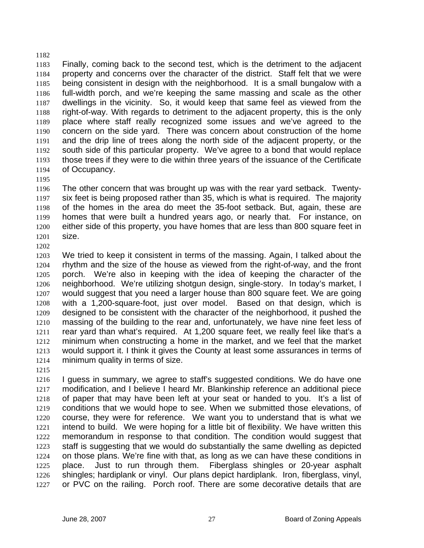1183 1184 1185 1186 1187 1188 1189 1190 1191 1192 1193 1194 Finally, coming back to the second test, which is the detriment to the adjacent property and concerns over the character of the district. Staff felt that we were being consistent in design with the neighborhood. It is a small bungalow with a full-width porch, and we're keeping the same massing and scale as the other dwellings in the vicinity. So, it would keep that same feel as viewed from the right-of-way. With regards to detriment to the adjacent property, this is the only place where staff really recognized some issues and we've agreed to the concern on the side yard. There was concern about construction of the home and the drip line of trees along the north side of the adjacent property, or the south side of this particular property. We've agree to a bond that would replace those trees if they were to die within three years of the issuance of the Certificate of Occupancy.

- 1196 1197 1198 1199 1200 1201 The other concern that was brought up was with the rear yard setback. Twentysix feet is being proposed rather than 35, which is what is required. The majority of the homes in the area do meet the 35-foot setback. But, again, these are homes that were built a hundred years ago, or nearly that. For instance, on either side of this property, you have homes that are less than 800 square feet in size.
- 1203 1204 1205 1206 1207 1208 1209 1210 1211 1212 1213 1214 We tried to keep it consistent in terms of the massing. Again, I talked about the rhythm and the size of the house as viewed from the right-of-way, and the front porch. We're also in keeping with the idea of keeping the character of the neighborhood. We're utilizing shotgun design, single-story. In today's market, I would suggest that you need a larger house than 800 square feet. We are going with a 1,200-square-foot, just over model. Based on that design, which is designed to be consistent with the character of the neighborhood, it pushed the massing of the building to the rear and, unfortunately, we have nine feet less of rear yard than what's required. At 1,200 square feet, we really feel like that's a minimum when constructing a home in the market, and we feel that the market would support it. I think it gives the County at least some assurances in terms of minimum quality in terms of size.
- 1215

1182

1195

1202

1216 1217 1218 1219 1220 1221 1222 1223 1224 1225 1226 1227 I guess in summary, we agree to staff's suggested conditions. We do have one modification, and I believe I heard Mr. Blankinship reference an additional piece of paper that may have been left at your seat or handed to you. It's a list of conditions that we would hope to see. When we submitted those elevations, of course, they were for reference. We want you to understand that is what we intend to build. We were hoping for a little bit of flexibility. We have written this memorandum in response to that condition. The condition would suggest that staff is suggesting that we would do substantially the same dwelling as depicted on those plans. We're fine with that, as long as we can have these conditions in place. Just to run through them. Fiberglass shingles or 20-year asphalt shingles; hardiplank or vinyl. Our plans depict hardiplank. Iron, fiberglass, vinyl, or PVC on the railing. Porch roof. There are some decorative details that are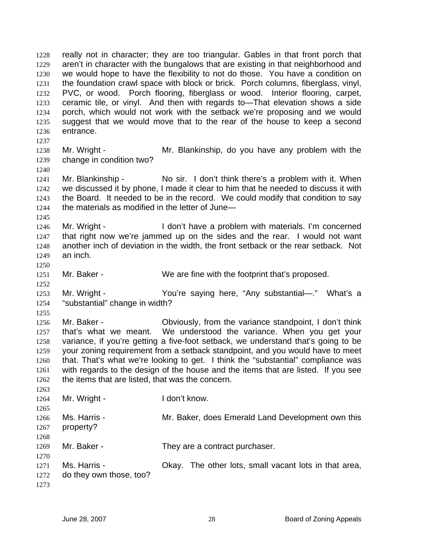really not in character; they are too triangular. Gables in that front porch that aren't in character with the bungalows that are existing in that neighborhood and we would hope to have the flexibility to not do those. You have a condition on the foundation crawl space with block or brick. Porch columns, fiberglass, vinyl, PVC, or wood. Porch flooring, fiberglass or wood. Interior flooring, carpet, ceramic tile, or vinyl. And then with regards to—That elevation shows a side porch, which would not work with the setback we're proposing and we would suggest that we would move that to the rear of the house to keep a second entrance. 1228 1229 1230 1231 1232 1233 1234 1235 1236 1237 1238 1239 1240 1241 1242 1243 1244 1245 1246 1247 1248 1249 1250 1251 1252 1253 1254 1255 1256 1257 1258 1259 1260 1261 1262 1263 1264 1265 1266 1267 1268 1269 1270 1271 1272 1273 Mr. Wright - The Mr. Blankinship, do you have any problem with the change in condition two? Mr. Blankinship - No sir. I don't think there's a problem with it. When we discussed it by phone, I made it clear to him that he needed to discuss it with the Board. It needed to be in the record. We could modify that condition to say the materials as modified in the letter of June— Mr. Wright - I don't have a problem with materials. I'm concerned that right now we're jammed up on the sides and the rear. I would not want another inch of deviation in the width, the front setback or the rear setback. Not an inch. Mr. Baker - We are fine with the footprint that's proposed. Mr. Wright - You're saying here, "Any substantial—." What's a "substantial" change in width? Mr. Baker - Obviously, from the variance standpoint, I don't think that's what we meant. We understood the variance. When you get your variance, if you're getting a five-foot setback, we understand that's going to be your zoning requirement from a setback standpoint, and you would have to meet that. That's what we're looking to get. I think the "substantial" compliance was with regards to the design of the house and the items that are listed. If you see the items that are listed, that was the concern. Mr. Wright - The Loop't know. Ms. Harris - The Mr. Baker, does Emerald Land Development own this property? Mr. Baker - They are a contract purchaser. Ms. Harris - Chay. The other lots, small vacant lots in that area, do they own those, too?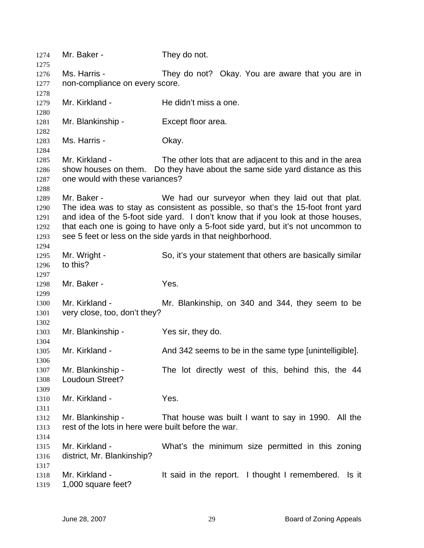| 1274<br>1275 | Mr. Baker -                                         | They do not.                                                                                                                            |
|--------------|-----------------------------------------------------|-----------------------------------------------------------------------------------------------------------------------------------------|
| 1276         | Ms. Harris -                                        | They do not? Okay. You are aware that you are in                                                                                        |
| 1277         | non-compliance on every score.                      |                                                                                                                                         |
| 1278         |                                                     |                                                                                                                                         |
| 1279         | Mr. Kirkland -                                      | He didn't miss a one.                                                                                                                   |
| 1280         |                                                     |                                                                                                                                         |
| 1281         | Mr. Blankinship -                                   | Except floor area.                                                                                                                      |
| 1282         |                                                     |                                                                                                                                         |
| 1283         | Ms. Harris -                                        | Okay.                                                                                                                                   |
| 1284         |                                                     |                                                                                                                                         |
|              | Mr. Kirkland -                                      |                                                                                                                                         |
| 1285         |                                                     | The other lots that are adjacent to this and in the area<br>show houses on them. Do they have about the same side yard distance as this |
| 1286         |                                                     |                                                                                                                                         |
| 1287         | one would with these variances?                     |                                                                                                                                         |
| 1288         |                                                     |                                                                                                                                         |
| 1289         | Mr. Baker -                                         | We had our surveyor when they laid out that plat.                                                                                       |
| 1290         |                                                     | The idea was to stay as consistent as possible, so that's the 15-foot front yard                                                        |
| 1291         |                                                     | and idea of the 5-foot side yard. I don't know that if you look at those houses,                                                        |
| 1292         |                                                     | that each one is going to have only a 5-foot side yard, but it's not uncommon to                                                        |
| 1293         |                                                     | see 5 feet or less on the side yards in that neighborhood.                                                                              |
| 1294         |                                                     |                                                                                                                                         |
| 1295         | Mr. Wright -                                        | So, it's your statement that others are basically similar                                                                               |
| 1296         | to this?                                            |                                                                                                                                         |
| 1297         |                                                     |                                                                                                                                         |
| 1298         | Mr. Baker -                                         | Yes.                                                                                                                                    |
| 1299         |                                                     |                                                                                                                                         |
| 1300         | Mr. Kirkland -                                      | Mr. Blankinship, on 340 and 344, they seem to be                                                                                        |
| 1301         | very close, too, don't they?                        |                                                                                                                                         |
| 1302         |                                                     |                                                                                                                                         |
| 1303         | Mr. Blankinship -                                   | Yes sir, they do.                                                                                                                       |
| 1304         |                                                     |                                                                                                                                         |
| 1305         | Mr. Kirkland -                                      | And 342 seems to be in the same type [unintelligible].                                                                                  |
| 1306         |                                                     |                                                                                                                                         |
| 1307         | Mr. Blankinship -                                   | The lot directly west of this, behind this, the 44                                                                                      |
| 1308         | Loudoun Street?                                     |                                                                                                                                         |
| 1309         |                                                     |                                                                                                                                         |
| 1310         | Mr. Kirkland -                                      | Yes.                                                                                                                                    |
| 1311         |                                                     |                                                                                                                                         |
| 1312         | Mr. Blankinship -                                   | That house was built I want to say in 1990. All the                                                                                     |
| 1313         | rest of the lots in here were built before the war. |                                                                                                                                         |
| 1314         |                                                     |                                                                                                                                         |
| 1315         | Mr. Kirkland -                                      | What's the minimum size permitted in this zoning                                                                                        |
| 1316         | district, Mr. Blankinship?                          |                                                                                                                                         |
| 1317         |                                                     |                                                                                                                                         |
| 1318         | Mr. Kirkland -                                      | It said in the report. I thought I remembered.<br>Is it                                                                                 |
| 1319         | 1,000 square feet?                                  |                                                                                                                                         |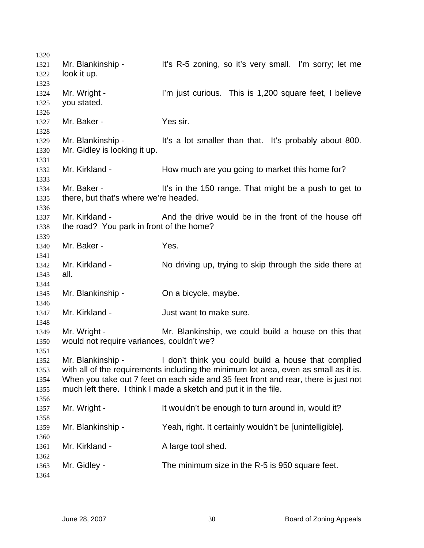| 1320         |                                                                                     |                                                                                      |  |
|--------------|-------------------------------------------------------------------------------------|--------------------------------------------------------------------------------------|--|
| 1321         | Mr. Blankinship -                                                                   | It's R-5 zoning, so it's very small. I'm sorry; let me                               |  |
| 1322         | look it up.                                                                         |                                                                                      |  |
| 1323         | Mr. Wright -                                                                        | I'm just curious. This is 1,200 square feet, I believe                               |  |
| 1324         | you stated.                                                                         |                                                                                      |  |
| 1325         |                                                                                     |                                                                                      |  |
| 1326<br>1327 | Mr. Baker -                                                                         | Yes sir.                                                                             |  |
| 1328         |                                                                                     |                                                                                      |  |
| 1329         | Mr. Blankinship -                                                                   | It's a lot smaller than that. It's probably about 800.                               |  |
| 1330         | Mr. Gidley is looking it up.                                                        |                                                                                      |  |
| 1331         |                                                                                     |                                                                                      |  |
| 1332         | Mr. Kirkland -                                                                      | How much are you going to market this home for?                                      |  |
| 1333         |                                                                                     |                                                                                      |  |
| 1334         | Mr. Baker -                                                                         | It's in the 150 range. That might be a push to get to                                |  |
| 1335         | there, but that's where we're headed.                                               |                                                                                      |  |
| 1336         |                                                                                     |                                                                                      |  |
| 1337         | Mr. Kirkland -                                                                      | And the drive would be in the front of the house off                                 |  |
| 1338         | the road? You park in front of the home?                                            |                                                                                      |  |
| 1339         |                                                                                     |                                                                                      |  |
| 1340         | Mr. Baker -                                                                         | Yes.                                                                                 |  |
| 1341         |                                                                                     |                                                                                      |  |
| 1342         | Mr. Kirkland -                                                                      | No driving up, trying to skip through the side there at                              |  |
| 1343         | all.                                                                                |                                                                                      |  |
| 1344         |                                                                                     |                                                                                      |  |
| 1345         | Mr. Blankinship -                                                                   | On a bicycle, maybe.                                                                 |  |
| 1346         |                                                                                     |                                                                                      |  |
| 1347         | Mr. Kirkland -                                                                      | Just want to make sure.                                                              |  |
| 1348         |                                                                                     |                                                                                      |  |
| 1349         | Mr. Wright -                                                                        | Mr. Blankinship, we could build a house on this that                                 |  |
| 1350         | would not require variances, couldn't we?                                           |                                                                                      |  |
| 1351         |                                                                                     |                                                                                      |  |
| 1352         | Mr. Blankinship -                                                                   | I don't think you could build a house that complied                                  |  |
| 1353         |                                                                                     | with all of the requirements including the minimum lot area, even as small as it is. |  |
| 1354         | When you take out 7 feet on each side and 35 feet front and rear, there is just not |                                                                                      |  |
| 1355         |                                                                                     | much left there. I think I made a sketch and put it in the file.                     |  |
| 1356         |                                                                                     |                                                                                      |  |
| 1357         | Mr. Wright -                                                                        | It wouldn't be enough to turn around in, would it?                                   |  |
| 1358         |                                                                                     |                                                                                      |  |
| 1359         | Mr. Blankinship -                                                                   | Yeah, right. It certainly wouldn't be [unintelligible].                              |  |
| 1360         |                                                                                     |                                                                                      |  |
| 1361         | Mr. Kirkland -                                                                      | A large tool shed.                                                                   |  |
| 1362         |                                                                                     |                                                                                      |  |
| 1363         | Mr. Gidley -                                                                        | The minimum size in the R-5 is 950 square feet.                                      |  |
| 1364         |                                                                                     |                                                                                      |  |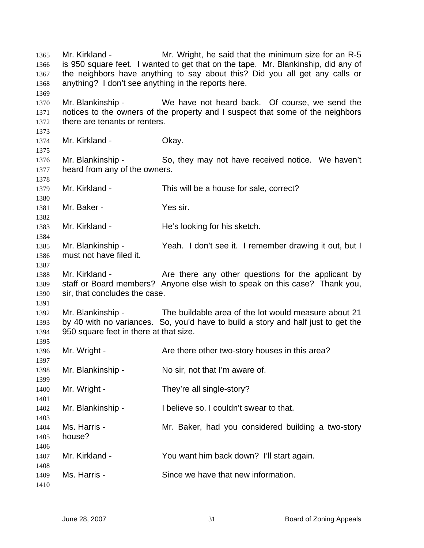Mr. Kirkland - Mr. Wright, he said that the minimum size for an R-5 is 950 square feet. I wanted to get that on the tape. Mr. Blankinship, did any of the neighbors have anything to say about this? Did you all get any calls or anything? I don't see anything in the reports here. Mr. Blankinship - We have not heard back. Of course, we send the notices to the owners of the property and I suspect that some of the neighbors there are tenants or renters. Mr. Kirkland - **Okay.** Mr. Blankinship - So, they may not have received notice. We haven't heard from any of the owners. Mr. Kirkland - This will be a house for sale, correct? Mr. Baker - Yes sir. Mr. Kirkland - He's looking for his sketch. Mr. Blankinship - Yeah. I don't see it. I remember drawing it out, but I must not have filed it. Mr. Kirkland - The Are there any other questions for the applicant by staff or Board members? Anyone else wish to speak on this case? Thank you, sir, that concludes the case. Mr. Blankinship - The buildable area of the lot would measure about 21 by 40 with no variances. So, you'd have to build a story and half just to get the 950 square feet in there at that size. Mr. Wright - The Are there other two-story houses in this area? Mr. Blankinship - No sir, not that I'm aware of. Mr. Wright - They're all single-story? Mr. Blankinship - I believe so. I couldn't swear to that. Ms. Harris - The Mr. Baker, had you considered building a two-story house? Mr. Kirkland - You want him back down? I'll start again. Ms. Harris - Since we have that new information.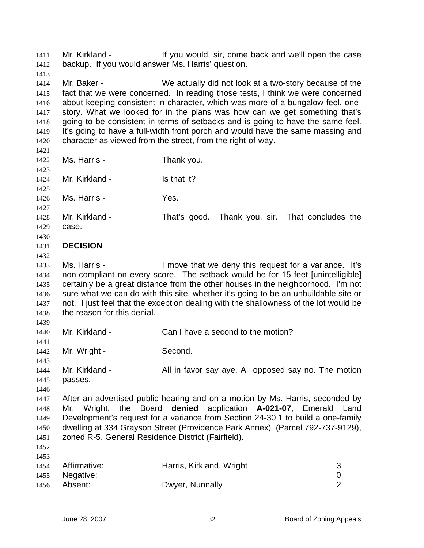Mr. Kirkland - The State of the vould, sir, come back and we'll open the case backup. If you would answer Ms. Harris' question. 1411 1412

1413

1414 1415 1416 1417 1418 1419 1420 Mr. Baker - We actually did not look at a two-story because of the fact that we were concerned. In reading those tests, I think we were concerned about keeping consistent in character, which was more of a bungalow feel, onestory. What we looked for in the plans was how can we get something that's going to be consistent in terms of setbacks and is going to have the same feel. It's going to have a full-width front porch and would have the same massing and character as viewed from the street, from the right-of-way.

1421

1422 1423

1424 1425

1426 Ms. Harris - Yes.

1427

1428 1429 Mr. Kirkland - That's good. Thank you, sir. That concludes the case.

## 1430 1431 **DECISION**

1432

1433 1434 1435 1436 1437 1438 Ms. Harris - I move that we deny this request for a variance. It's non-compliant on every score. The setback would be for 15 feet [unintelligible] certainly be a great distance from the other houses in the neighborhood. I'm not sure what we can do with this site, whether it's going to be an unbuildable site or not. I just feel that the exception dealing with the shallowness of the lot would be the reason for this denial.

1439 1440

1441

Mr. Kirkland - Can I have a second to the motion?

1442 Mr. Wright - Second.

Ms. Harris - Thank you.

Mr. Kirkland - Is that it?

1443 1444 1445 Mr. Kirkland - All in favor say aye. All opposed say no. The motion passes.

1446

1447 1448 1449 1450 1451 After an advertised public hearing and on a motion by Ms. Harris, seconded by Mr. Wright, the Board **denied** application **A-021-07**, Emerald Land Development's request for a variance from Section 24-30.1 to build a one-family dwelling at 334 Grayson Street (Providence Park Annex) (Parcel 792-737-9129), zoned R-5, General Residence District (Fairfield).

1452 1453

| $1 - 1$ |                   |                          |  |
|---------|-------------------|--------------------------|--|
|         | 1454 Affirmative: | Harris, Kirkland, Wright |  |
|         | 1455 Negative:    |                          |  |
| 1456    | Absent:           | Dwyer, Nunnally          |  |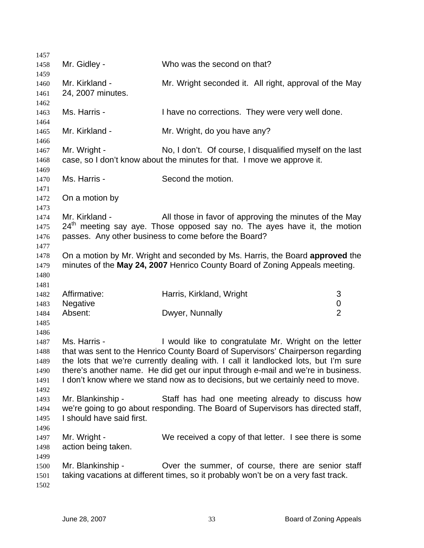| 1457                                                 |                                                |                                                                                                                                                                                                                                                                                                                                                                                                        |                |
|------------------------------------------------------|------------------------------------------------|--------------------------------------------------------------------------------------------------------------------------------------------------------------------------------------------------------------------------------------------------------------------------------------------------------------------------------------------------------------------------------------------------------|----------------|
| 1458                                                 | Mr. Gidley -                                   | Who was the second on that?                                                                                                                                                                                                                                                                                                                                                                            |                |
| 1459<br>1460<br>1461                                 | Mr. Kirkland -<br>24, 2007 minutes.            | Mr. Wright seconded it. All right, approval of the May                                                                                                                                                                                                                                                                                                                                                 |                |
| 1462<br>1463<br>1464                                 | Ms. Harris -                                   | I have no corrections. They were very well done.                                                                                                                                                                                                                                                                                                                                                       |                |
| 1465<br>1466                                         | Mr. Kirkland -                                 | Mr. Wright, do you have any?                                                                                                                                                                                                                                                                                                                                                                           |                |
| 1467<br>1468<br>1469                                 | Mr. Wright -                                   | No, I don't. Of course, I disqualified myself on the last<br>case, so I don't know about the minutes for that. I move we approve it.                                                                                                                                                                                                                                                                   |                |
| 1470<br>1471                                         | Ms. Harris -                                   | Second the motion.                                                                                                                                                                                                                                                                                                                                                                                     |                |
| 1472<br>1473                                         | On a motion by                                 |                                                                                                                                                                                                                                                                                                                                                                                                        |                |
| 1474<br>1475<br>1476                                 | Mr. Kirkland -                                 | All those in favor of approving the minutes of the May<br>$24th$ meeting say aye. Those opposed say no. The ayes have it, the motion<br>passes. Any other business to come before the Board?                                                                                                                                                                                                           |                |
| 1477<br>1478<br>1479<br>1480                         |                                                | On a motion by Mr. Wright and seconded by Ms. Harris, the Board approved the<br>minutes of the May 24, 2007 Henrico County Board of Zoning Appeals meeting.                                                                                                                                                                                                                                            |                |
| 1481<br>1482<br>1483                                 | Affirmative:<br>Negative                       | Harris, Kirkland, Wright                                                                                                                                                                                                                                                                                                                                                                               | 3<br>$\pmb{0}$ |
| 1484<br>1485                                         | Absent:                                        | Dwyer, Nunnally                                                                                                                                                                                                                                                                                                                                                                                        | $\overline{2}$ |
| 1486<br>1487<br>1488<br>1489<br>1490<br>1491<br>1492 | Ms. Harris -                                   | I would like to congratulate Mr. Wright on the letter<br>that was sent to the Henrico County Board of Supervisors' Chairperson regarding<br>the lots that we're currently dealing with. I call it landlocked lots, but I'm sure<br>there's another name. He did get our input through e-mail and we're in business.<br>I don't know where we stand now as to decisions, but we certainly need to move. |                |
| 1493<br>1494<br>1495                                 | Mr. Blankinship -<br>I should have said first. | Staff has had one meeting already to discuss how<br>we're going to go about responding. The Board of Supervisors has directed staff,                                                                                                                                                                                                                                                                   |                |
| 1496<br>1497<br>1498                                 | Mr. Wright -<br>action being taken.            | We received a copy of that letter. I see there is some                                                                                                                                                                                                                                                                                                                                                 |                |
| 1499<br>1500<br>1501<br>1502                         | Mr. Blankinship -                              | Over the summer, of course, there are senior staff<br>taking vacations at different times, so it probably won't be on a very fast track.                                                                                                                                                                                                                                                               |                |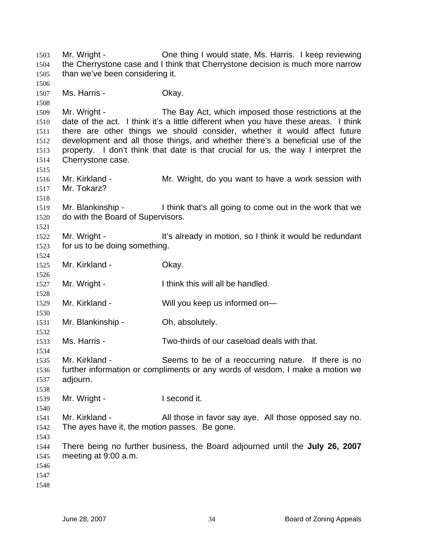Mr. Wright - One thing I would state, Ms. Harris. I keep reviewing the Cherrystone case and I think that Cherrystone decision is much more narrow than we've been considering it. Ms. Harris - Chay. Mr. Wright - The Bay Act, which imposed those restrictions at the date of the act. I think it's a little different when you have these areas. I think there are other things we should consider, whether it would affect future development and all those things, and whether there's a beneficial use of the property. I don't think that date is that crucial for us, the way I interpret the Cherrystone case. Mr. Kirkland - The Mr. Wright, do you want to have a work session with Mr. Tokarz? Mr. Blankinship - I think that's all going to come out in the work that we do with the Board of Supervisors. Mr. Wright - It's already in motion, so I think it would be redundant for us to be doing something. Mr. Kirkland - **Okay.** Mr. Wright - Think this will all be handled. Mr. Kirkland - Will you keep us informed on— Mr. Blankinship - Oh, absolutely. Ms. Harris - Two-thirds of our caseload deals with that. Mr. Kirkland - Seems to be of a reoccurring nature. If there is no further information or compliments or any words of wisdom, I make a motion we adjourn. Mr. Wright - The Recond it. Mr. Kirkland - All those in favor say aye. All those opposed say no. The ayes have it, the motion passes. Be gone. There being no further business, the Board adjourned until the **July 26, 2007**  meeting at 9:00 a.m.